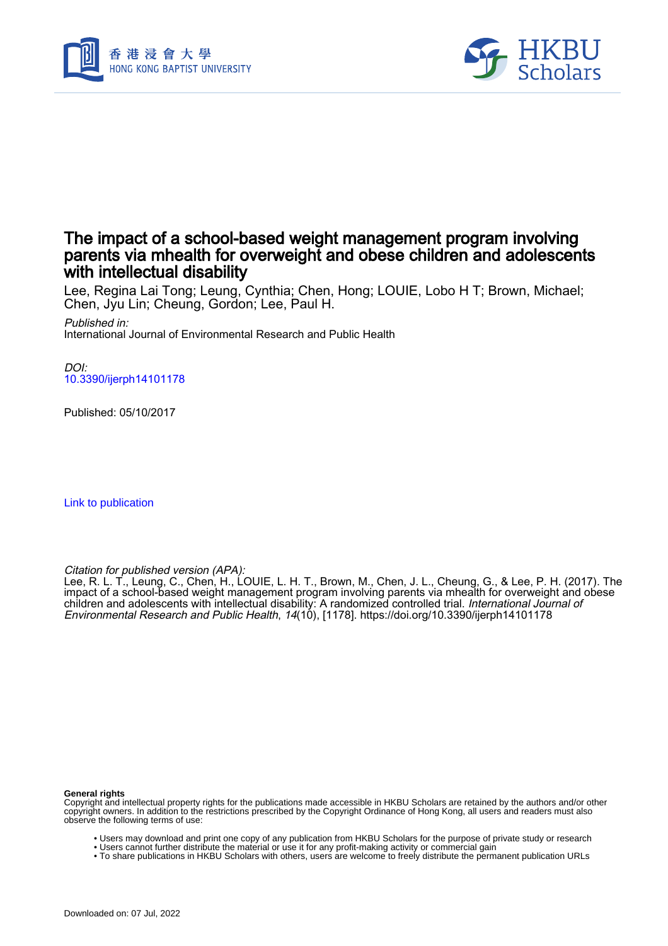



# The impact of a school-based weight management program involving parents via mhealth for overweight and obese children and adolescents with intellectual disability

Lee, Regina Lai Tong; Leung, Cynthia; Chen, Hong; LOUIE, Lobo H T; Brown, Michael; Chen, Jyu Lin; Cheung, Gordon; Lee, Paul H.

Published in: International Journal of Environmental Research and Public Health

 $D$ [10.3390/ijerph14101178](https://doi.org/10.3390/ijerph14101178)

Published: 05/10/2017

[Link to publication](https://scholars.hkbu.edu.hk/en/publications/05ef29b3-7403-43ca-98c8-e6d8c0afb7a6)

Citation for published version (APA):

Lee, R. L. T., Leung, C., Chen, H., LOUIE, L. H. T., Brown, M., Chen, J. L., Cheung, G., & Lee, P. H. (2017). The impact of a school-based weight management program involving parents via mhealth for overweight and obese children and adolescents with intellectual disability: A randomized controlled trial. *International Journal of* Environmental Research and Public Health, 14(10), [1178]. <https://doi.org/10.3390/ijerph14101178>

#### **General rights**

Copyright and intellectual property rights for the publications made accessible in HKBU Scholars are retained by the authors and/or other copyright owners. In addition to the restrictions prescribed by the Copyright Ordinance of Hong Kong, all users and readers must also observe the following terms of use:

- Users may download and print one copy of any publication from HKBU Scholars for the purpose of private study or research
- Users cannot further distribute the material or use it for any profit-making activity or commercial gain
- To share publications in HKBU Scholars with others, users are welcome to freely distribute the permanent publication URLs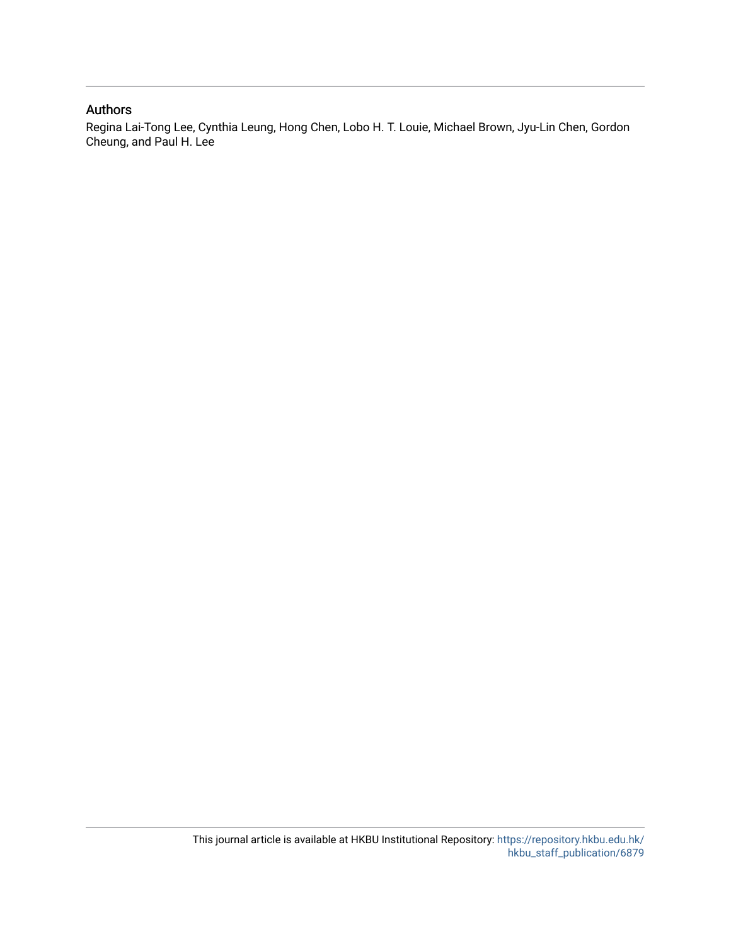## Authors

Regina Lai-Tong Lee, Cynthia Leung, Hong Chen, Lobo H. T. Louie, Michael Brown, Jyu-Lin Chen, Gordon Cheung, and Paul H. Lee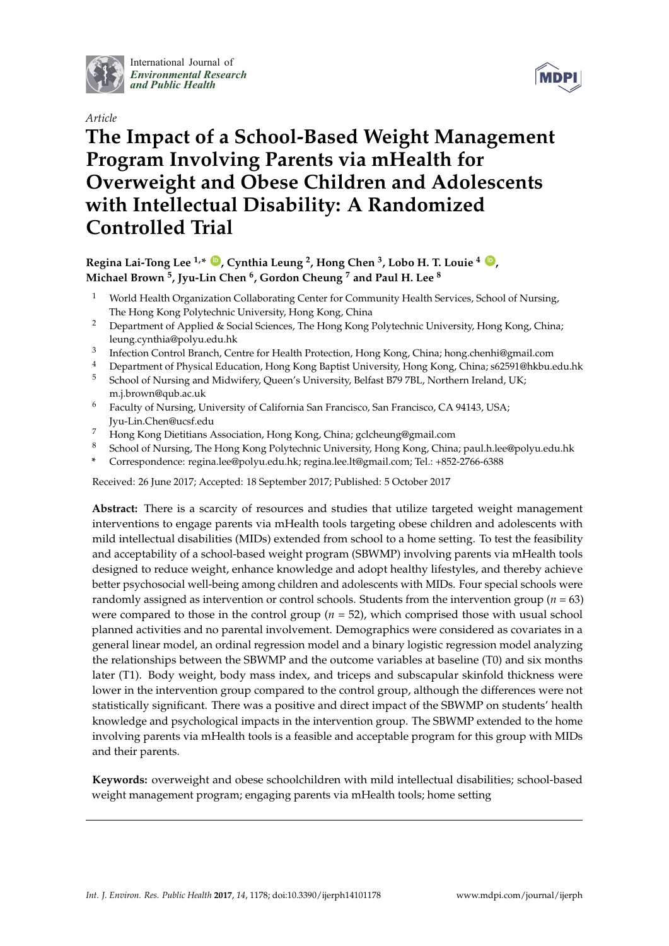

International Journal of *[Environmental Research](http://www.mdpi.com/journal/ijerph) and Public Health*

*Article*



# **The Impact of a School-Based Weight Management Program Involving Parents via mHealth for Overweight and Obese Children and Adolescents with Intellectual Disability: A Randomized Controlled Trial**

# **Regina Lai-Tong Lee 1,\* [ID](https://orcid.org/0000-0003-1884-8360) , Cynthia Leung <sup>2</sup> , Hong Chen <sup>3</sup> , Lobo H. T. Louie <sup>4</sup> [ID](https://orcid.org/0000-0001-7981-598X) , Michael Brown <sup>5</sup> , Jyu-Lin Chen <sup>6</sup> , Gordon Cheung <sup>7</sup> and Paul H. Lee <sup>8</sup>**

- <sup>1</sup> World Health Organization Collaborating Center for Community Health Services, School of Nursing, The Hong Kong Polytechnic University, Hong Kong, China
- <sup>2</sup> Department of Applied & Social Sciences, The Hong Kong Polytechnic University, Hong Kong, China; leung.cynthia@polyu.edu.hk
- 3 Infection Control Branch, Centre for Health Protection, Hong Kong, China; hong.chenhi@gmail.com
- <sup>4</sup> Department of Physical Education, Hong Kong Baptist University, Hong Kong, China; s62591@hkbu.edu.hk
- <sup>5</sup> School of Nursing and Midwifery, Queen's University, Belfast B79 7BL, Northern Ireland, UK; m.j.brown@qub.ac.uk
- <sup>6</sup> Faculty of Nursing, University of California San Francisco, San Francisco, CA 94143, USA; Jyu-Lin.Chen@ucsf.edu
- <sup>7</sup> Hong Kong Dietitians Association, Hong Kong, China; gclcheung@gmail.com
- <sup>8</sup> School of Nursing, The Hong Kong Polytechnic University, Hong Kong, China; paul.h.lee@polyu.edu.hk
- **\*** Correspondence: regina.lee@polyu.edu.hk; regina.lee.lt@gmail.com; Tel.: +852-2766-6388

Received: 26 June 2017; Accepted: 18 September 2017; Published: 5 October 2017

**Abstract:** There is a scarcity of resources and studies that utilize targeted weight management interventions to engage parents via mHealth tools targeting obese children and adolescents with mild intellectual disabilities (MIDs) extended from school to a home setting. To test the feasibility and acceptability of a school-based weight program (SBWMP) involving parents via mHealth tools designed to reduce weight, enhance knowledge and adopt healthy lifestyles, and thereby achieve better psychosocial well-being among children and adolescents with MIDs. Four special schools were randomly assigned as intervention or control schools. Students from the intervention group ( $n = 63$ ) were compared to those in the control group  $(n = 52)$ , which comprised those with usual school planned activities and no parental involvement. Demographics were considered as covariates in a general linear model, an ordinal regression model and a binary logistic regression model analyzing the relationships between the SBWMP and the outcome variables at baseline (T0) and six months later (T1). Body weight, body mass index, and triceps and subscapular skinfold thickness were lower in the intervention group compared to the control group, although the differences were not statistically significant. There was a positive and direct impact of the SBWMP on students' health knowledge and psychological impacts in the intervention group. The SBWMP extended to the home involving parents via mHealth tools is a feasible and acceptable program for this group with MIDs and their parents.

**Keywords:** overweight and obese schoolchildren with mild intellectual disabilities; school-based weight management program; engaging parents via mHealth tools; home setting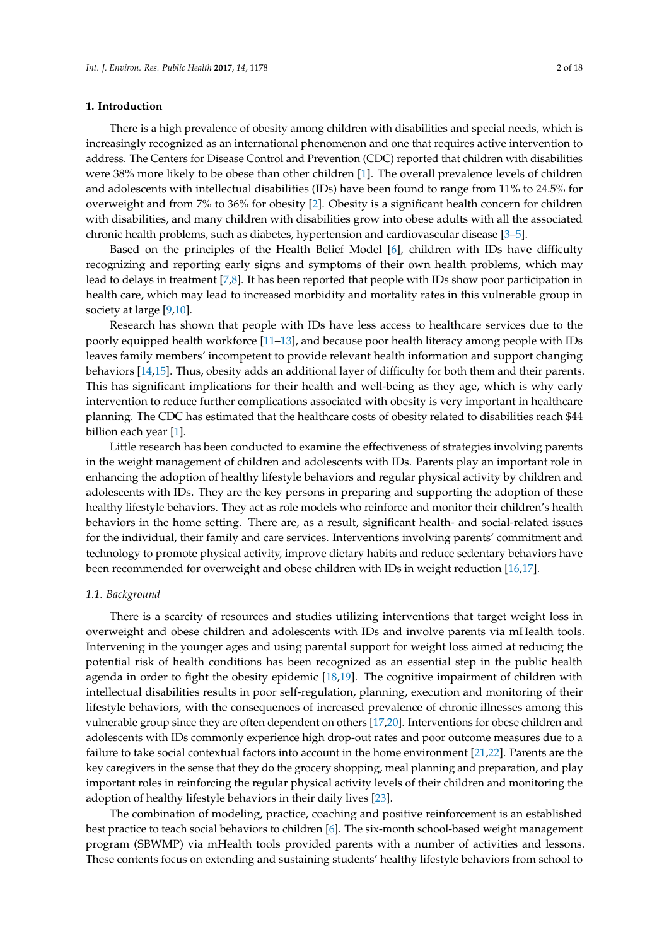## **1. Introduction**

There is a high prevalence of obesity among children with disabilities and special needs, which is increasingly recognized as an international phenomenon and one that requires active intervention to address. The Centers for Disease Control and Prevention (CDC) reported that children with disabilities were 38% more likely to be obese than other children [1]. The overall prevalence levels of children and adolescents with intellectual disabilities (IDs) have been found to range from 11% to 24.5% for overweight and from 7% to 36% for obesity [2]. Obesity is a significant health concern for children with disabilities, and many children with disabilities grow into obese adults with all the associated chronic health problems, such as diabetes, hypertension and cardiovascular disease [3–5].

Based on the principles of the Health Belief Model [6], children with IDs have difficulty recognizing and reporting early signs and symptoms of their own health problems, which may lead to delays in treatment [7,8]. It has been reported that people with IDs show poor participation in health care, which may lead to increased morbidity and mortality rates in this vulnerable group in society at large [9,10].

Research has shown that people with IDs have less access to healthcare services due to the poorly equipped health workforce [11–13], and because poor health literacy among people with IDs leaves family members' incompetent to provide relevant health information and support changing behaviors [14,15]. Thus, obesity adds an additional layer of difficulty for both them and their parents. This has significant implications for their health and well-being as they age, which is why early intervention to reduce further complications associated with obesity is very important in healthcare planning. The CDC has estimated that the healthcare costs of obesity related to disabilities reach \$44 billion each year [1].

Little research has been conducted to examine the effectiveness of strategies involving parents in the weight management of children and adolescents with IDs. Parents play an important role in enhancing the adoption of healthy lifestyle behaviors and regular physical activity by children and adolescents with IDs. They are the key persons in preparing and supporting the adoption of these healthy lifestyle behaviors. They act as role models who reinforce and monitor their children's health behaviors in the home setting. There are, as a result, significant health- and social-related issues for the individual, their family and care services. Interventions involving parents' commitment and technology to promote physical activity, improve dietary habits and reduce sedentary behaviors have been recommended for overweight and obese children with IDs in weight reduction [16,17].

## *1.1. Background*

There is a scarcity of resources and studies utilizing interventions that target weight loss in overweight and obese children and adolescents with IDs and involve parents via mHealth tools. Intervening in the younger ages and using parental support for weight loss aimed at reducing the potential risk of health conditions has been recognized as an essential step in the public health agenda in order to fight the obesity epidemic [18,19]. The cognitive impairment of children with intellectual disabilities results in poor self-regulation, planning, execution and monitoring of their lifestyle behaviors, with the consequences of increased prevalence of chronic illnesses among this vulnerable group since they are often dependent on others [17,20]. Interventions for obese children and adolescents with IDs commonly experience high drop-out rates and poor outcome measures due to a failure to take social contextual factors into account in the home environment [21,22]. Parents are the key caregivers in the sense that they do the grocery shopping, meal planning and preparation, and play important roles in reinforcing the regular physical activity levels of their children and monitoring the adoption of healthy lifestyle behaviors in their daily lives [23].

The combination of modeling, practice, coaching and positive reinforcement is an established best practice to teach social behaviors to children [6]. The six-month school-based weight management program (SBWMP) via mHealth tools provided parents with a number of activities and lessons. These contents focus on extending and sustaining students' healthy lifestyle behaviors from school to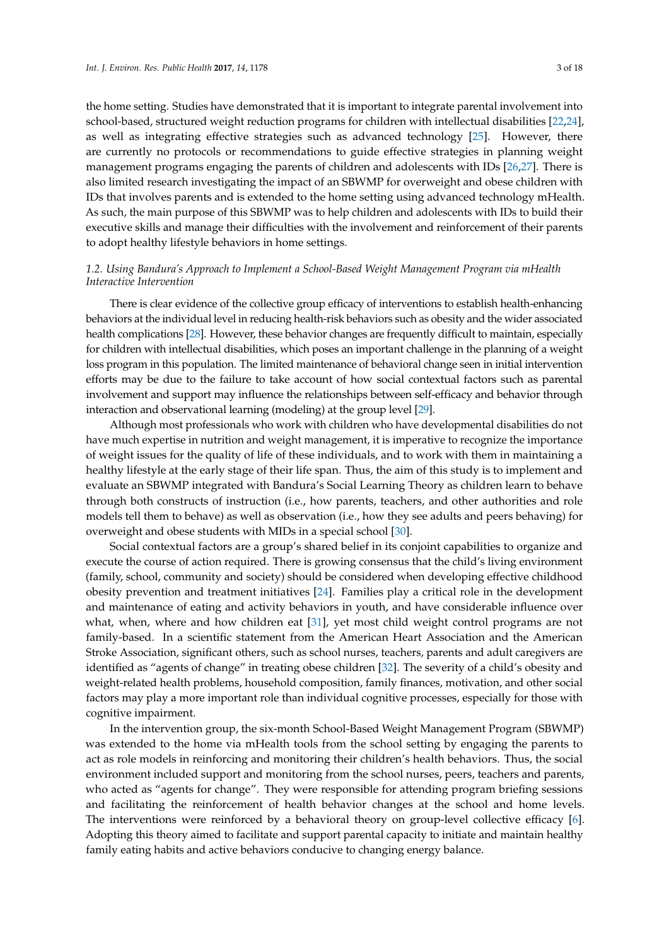the home setting. Studies have demonstrated that it is important to integrate parental involvement into school-based, structured weight reduction programs for children with intellectual disabilities [22,24], as well as integrating effective strategies such as advanced technology [25]. However, there are currently no protocols or recommendations to guide effective strategies in planning weight management programs engaging the parents of children and adolescents with IDs [26,27]. There is also limited research investigating the impact of an SBWMP for overweight and obese children with IDs that involves parents and is extended to the home setting using advanced technology mHealth. As such, the main purpose of this SBWMP was to help children and adolescents with IDs to build their executive skills and manage their difficulties with the involvement and reinforcement of their parents to adopt healthy lifestyle behaviors in home settings.

## *1.2. Using Bandura's Approach to Implement a School-Based Weight Management Program via mHealth Interactive Intervention*

There is clear evidence of the collective group efficacy of interventions to establish health-enhancing behaviors at the individual level in reducing health-risk behaviors such as obesity and the wider associated health complications [28]. However, these behavior changes are frequently difficult to maintain, especially for children with intellectual disabilities, which poses an important challenge in the planning of a weight loss program in this population. The limited maintenance of behavioral change seen in initial intervention efforts may be due to the failure to take account of how social contextual factors such as parental involvement and support may influence the relationships between self-efficacy and behavior through interaction and observational learning (modeling) at the group level [29].

Although most professionals who work with children who have developmental disabilities do not have much expertise in nutrition and weight management, it is imperative to recognize the importance of weight issues for the quality of life of these individuals, and to work with them in maintaining a healthy lifestyle at the early stage of their life span. Thus, the aim of this study is to implement and evaluate an SBWMP integrated with Bandura's Social Learning Theory as children learn to behave through both constructs of instruction (i.e., how parents, teachers, and other authorities and role models tell them to behave) as well as observation (i.e., how they see adults and peers behaving) for overweight and obese students with MIDs in a special school [30].

Social contextual factors are a group's shared belief in its conjoint capabilities to organize and execute the course of action required. There is growing consensus that the child's living environment (family, school, community and society) should be considered when developing effective childhood obesity prevention and treatment initiatives [24]. Families play a critical role in the development and maintenance of eating and activity behaviors in youth, and have considerable influence over what, when, where and how children eat [31], yet most child weight control programs are not family-based. In a scientific statement from the American Heart Association and the American Stroke Association, significant others, such as school nurses, teachers, parents and adult caregivers are identified as "agents of change" in treating obese children [32]. The severity of a child's obesity and weight-related health problems, household composition, family finances, motivation, and other social factors may play a more important role than individual cognitive processes, especially for those with cognitive impairment.

In the intervention group, the six-month School-Based Weight Management Program (SBWMP) was extended to the home via mHealth tools from the school setting by engaging the parents to act as role models in reinforcing and monitoring their children's health behaviors. Thus, the social environment included support and monitoring from the school nurses, peers, teachers and parents, who acted as "agents for change". They were responsible for attending program briefing sessions and facilitating the reinforcement of health behavior changes at the school and home levels. The interventions were reinforced by a behavioral theory on group-level collective efficacy [6]. Adopting this theory aimed to facilitate and support parental capacity to initiate and maintain healthy family eating habits and active behaviors conducive to changing energy balance.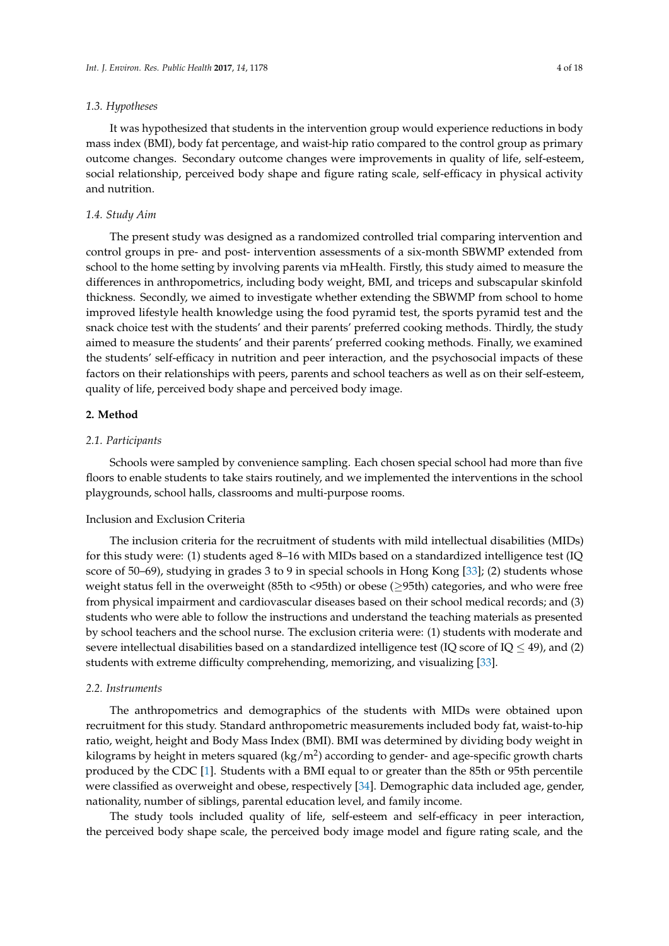## *1.3. Hypotheses*

It was hypothesized that students in the intervention group would experience reductions in body mass index (BMI), body fat percentage, and waist-hip ratio compared to the control group as primary outcome changes. Secondary outcome changes were improvements in quality of life, self-esteem, social relationship, perceived body shape and figure rating scale, self-efficacy in physical activity and nutrition.

## *1.4. Study Aim*

The present study was designed as a randomized controlled trial comparing intervention and control groups in pre- and post- intervention assessments of a six-month SBWMP extended from school to the home setting by involving parents via mHealth. Firstly, this study aimed to measure the differences in anthropometrics, including body weight, BMI, and triceps and subscapular skinfold thickness. Secondly, we aimed to investigate whether extending the SBWMP from school to home improved lifestyle health knowledge using the food pyramid test, the sports pyramid test and the snack choice test with the students' and their parents' preferred cooking methods. Thirdly, the study aimed to measure the students' and their parents' preferred cooking methods. Finally, we examined the students' self-efficacy in nutrition and peer interaction, and the psychosocial impacts of these factors on their relationships with peers, parents and school teachers as well as on their self-esteem, quality of life, perceived body shape and perceived body image.

## **2. Method**

## *2.1. Participants*

Schools were sampled by convenience sampling. Each chosen special school had more than five floors to enable students to take stairs routinely, and we implemented the interventions in the school playgrounds, school halls, classrooms and multi-purpose rooms.

### Inclusion and Exclusion Criteria

The inclusion criteria for the recruitment of students with mild intellectual disabilities (MIDs) for this study were: (1) students aged 8–16 with MIDs based on a standardized intelligence test (IQ score of 50–69), studying in grades 3 to 9 in special schools in Hong Kong [33]; (2) students whose weight status fell in the overweight (85th to <95th) or obese (≥95th) categories, and who were free from physical impairment and cardiovascular diseases based on their school medical records; and (3) students who were able to follow the instructions and understand the teaching materials as presented by school teachers and the school nurse. The exclusion criteria were: (1) students with moderate and severe intellectual disabilities based on a standardized intelligence test (IQ score of IQ  $\leq$  49), and (2) students with extreme difficulty comprehending, memorizing, and visualizing [33].

## *2.2. Instruments*

The anthropometrics and demographics of the students with MIDs were obtained upon recruitment for this study. Standard anthropometric measurements included body fat, waist-to-hip ratio, weight, height and Body Mass Index (BMI). BMI was determined by dividing body weight in kilograms by height in meters squared (kg/m<sup>2</sup>) according to gender- and age-specific growth charts produced by the CDC [1]. Students with a BMI equal to or greater than the 85th or 95th percentile were classified as overweight and obese, respectively [34]. Demographic data included age, gender, nationality, number of siblings, parental education level, and family income.

The study tools included quality of life, self-esteem and self-efficacy in peer interaction, the perceived body shape scale, the perceived body image model and figure rating scale, and the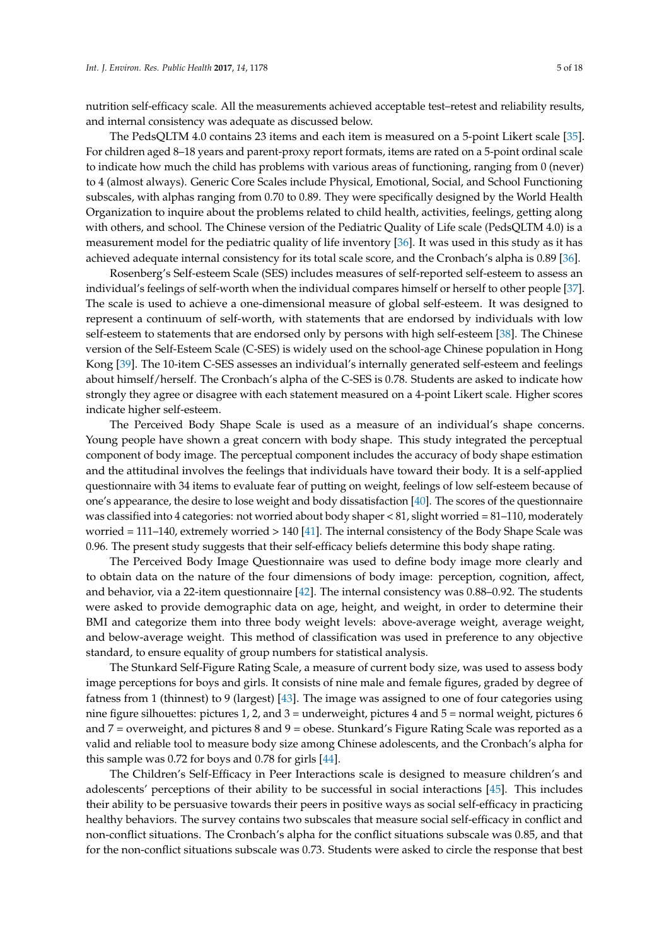nutrition self-efficacy scale. All the measurements achieved acceptable test–retest and reliability results, and internal consistency was adequate as discussed below.

The PedsQLTM 4.0 contains 23 items and each item is measured on a 5-point Likert scale [35]. For children aged 8–18 years and parent-proxy report formats, items are rated on a 5-point ordinal scale to indicate how much the child has problems with various areas of functioning, ranging from 0 (never) to 4 (almost always). Generic Core Scales include Physical, Emotional, Social, and School Functioning subscales, with alphas ranging from 0.70 to 0.89. They were specifically designed by the World Health Organization to inquire about the problems related to child health, activities, feelings, getting along with others, and school. The Chinese version of the Pediatric Quality of Life scale (PedsQLTM 4.0) is a measurement model for the pediatric quality of life inventory [36]. It was used in this study as it has achieved adequate internal consistency for its total scale score, and the Cronbach's alpha is 0.89 [36].

Rosenberg's Self-esteem Scale (SES) includes measures of self-reported self-esteem to assess an individual's feelings of self-worth when the individual compares himself or herself to other people [37]. The scale is used to achieve a one-dimensional measure of global self-esteem. It was designed to represent a continuum of self-worth, with statements that are endorsed by individuals with low self-esteem to statements that are endorsed only by persons with high self-esteem [38]. The Chinese version of the Self-Esteem Scale (C-SES) is widely used on the school-age Chinese population in Hong Kong [39]. The 10-item C-SES assesses an individual's internally generated self-esteem and feelings about himself/herself. The Cronbach's alpha of the C-SES is 0.78. Students are asked to indicate how strongly they agree or disagree with each statement measured on a 4-point Likert scale. Higher scores indicate higher self-esteem.

The Perceived Body Shape Scale is used as a measure of an individual's shape concerns. Young people have shown a great concern with body shape. This study integrated the perceptual component of body image. The perceptual component includes the accuracy of body shape estimation and the attitudinal involves the feelings that individuals have toward their body. It is a self-applied questionnaire with 34 items to evaluate fear of putting on weight, feelings of low self-esteem because of one's appearance, the desire to lose weight and body dissatisfaction [40]. The scores of the questionnaire was classified into 4 categories: not worried about body shaper < 81, slight worried = 81–110, moderately worried = 111–140, extremely worried > 140 [41]. The internal consistency of the Body Shape Scale was 0.96. The present study suggests that their self-efficacy beliefs determine this body shape rating.

The Perceived Body Image Questionnaire was used to define body image more clearly and to obtain data on the nature of the four dimensions of body image: perception, cognition, affect, and behavior, via a 22-item questionnaire [42]. The internal consistency was 0.88–0.92. The students were asked to provide demographic data on age, height, and weight, in order to determine their BMI and categorize them into three body weight levels: above-average weight, average weight, and below-average weight. This method of classification was used in preference to any objective standard, to ensure equality of group numbers for statistical analysis.

The Stunkard Self-Figure Rating Scale, a measure of current body size, was used to assess body image perceptions for boys and girls. It consists of nine male and female figures, graded by degree of fatness from 1 (thinnest) to 9 (largest) [43]. The image was assigned to one of four categories using nine figure silhouettes: pictures 1, 2, and 3 = underweight, pictures 4 and 5 = normal weight, pictures 6 and 7 = overweight, and pictures 8 and 9 = obese. Stunkard's Figure Rating Scale was reported as a valid and reliable tool to measure body size among Chinese adolescents, and the Cronbach's alpha for this sample was 0.72 for boys and 0.78 for girls [44].

The Children's Self-Efficacy in Peer Interactions scale is designed to measure children's and adolescents' perceptions of their ability to be successful in social interactions [45]. This includes their ability to be persuasive towards their peers in positive ways as social self-efficacy in practicing healthy behaviors. The survey contains two subscales that measure social self-efficacy in conflict and non-conflict situations. The Cronbach's alpha for the conflict situations subscale was 0.85, and that for the non-conflict situations subscale was 0.73. Students were asked to circle the response that best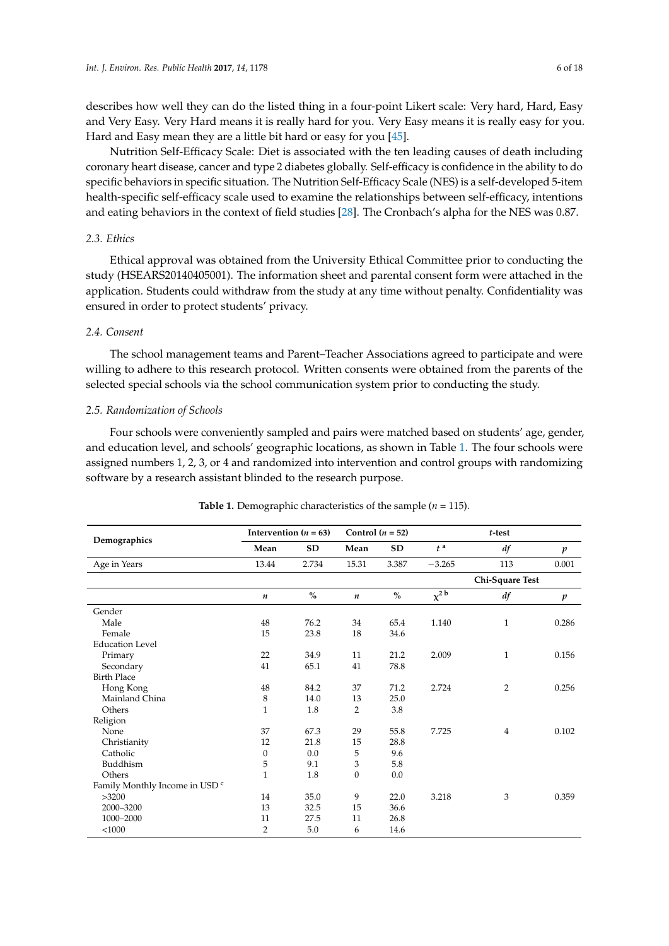describes how well they can do the listed thing in a four-point Likert scale: Very hard, Hard, Easy and Very Easy. Very Hard means it is really hard for you. Very Easy means it is really easy for you. Hard and Easy mean they are a little bit hard or easy for you [45].

Nutrition Self-Efficacy Scale: Diet is associated with the ten leading causes of death including coronary heart disease, cancer and type 2 diabetes globally. Self-efficacy is confidence in the ability to do specific behaviors in specific situation. The Nutrition Self-Efficacy Scale (NES) is a self-developed 5-item health-specific self-efficacy scale used to examine the relationships between self-efficacy, intentions and eating behaviors in the context of field studies [28]. The Cronbach's alpha for the NES was 0.87.

## *2.3. Ethics*

Ethical approval was obtained from the University Ethical Committee prior to conducting the study (HSEARS20140405001). The information sheet and parental consent form were attached in the application. Students could withdraw from the study at any time without penalty. Confidentiality was ensured in order to protect students' privacy.

## *2.4. Consent*

The school management teams and Parent–Teacher Associations agreed to participate and were willing to adhere to this research protocol. Written consents were obtained from the parents of the selected special schools via the school communication system prior to conducting the study.

## *2.5. Randomization of Schools*

Four schools were conveniently sampled and pairs were matched based on students' age, gender, and education level, and schools' geographic locations, as shown in Table 1. The four schools were assigned numbers 1, 2, 3, or 4 and randomized into intervention and control groups with randomizing software by a research assistant blinded to the research purpose.

|                                           |                  | Intervention ( $n = 63$ ) |                  | Control $(n = 52)$ |                       |                 |                  |
|-------------------------------------------|------------------|---------------------------|------------------|--------------------|-----------------------|-----------------|------------------|
| Demographics                              | Mean             | <b>SD</b>                 | Mean             | <b>SD</b>          | $t^{\mathrm{a}}$      | df              | $\boldsymbol{p}$ |
| Age in Years                              | 13.44            | 2.734                     | 15.31            | 3.387              | $-3.265$              | 113             | 0.001            |
|                                           |                  |                           |                  |                    |                       | Chi-Square Test |                  |
|                                           | $\boldsymbol{n}$ | $\frac{0}{0}$             | $\boldsymbol{n}$ | $\frac{0}{0}$      | $\chi^2$ <sup>b</sup> | df              | $\boldsymbol{p}$ |
| Gender                                    |                  |                           |                  |                    |                       |                 |                  |
| Male                                      | 48               | 76.2                      | 34               | 65.4               | 1.140                 | $\mathbf{1}$    | 0.286            |
| Female                                    | 15               | 23.8                      | 18               | 34.6               |                       |                 |                  |
| <b>Education Level</b>                    |                  |                           |                  |                    |                       |                 |                  |
| Primary                                   | 22               | 34.9                      | 11               | 21.2               | 2.009                 | $\mathbf{1}$    | 0.156            |
| Secondary                                 | 41               | 65.1                      | 41               | 78.8               |                       |                 |                  |
| <b>Birth Place</b>                        |                  |                           |                  |                    |                       |                 |                  |
| Hong Kong                                 | 48               | 84.2                      | 37               | 71.2               | 2.724                 | 2               | 0.256            |
| Mainland China                            | 8                | 14.0                      | 13               | 25.0               |                       |                 |                  |
| Others                                    | $\mathbf{1}$     | 1.8                       | 2                | 3.8                |                       |                 |                  |
| Religion                                  |                  |                           |                  |                    |                       |                 |                  |
| None                                      | 37               | 67.3                      | 29               | 55.8               | 7.725                 | 4               | 0.102            |
| Christianity                              | 12               | 21.8                      | 15               | 28.8               |                       |                 |                  |
| Catholic                                  | $\boldsymbol{0}$ | 0.0                       | 5                | 9.6                |                       |                 |                  |
| Buddhism                                  | 5                | 9.1                       | 3                | 5.8                |                       |                 |                  |
| Others                                    | 1                | 1.8                       | $\mathbf{0}$     | 0.0                |                       |                 |                  |
| Family Monthly Income in USD <sup>c</sup> |                  |                           |                  |                    |                       |                 |                  |
| >3200                                     | 14               | 35.0                      | 9                | 22.0               | 3.218                 | 3               | 0.359            |
| 2000-3200                                 | 13               | 32.5                      | 15               | 36.6               |                       |                 |                  |
| 1000-2000                                 | 11               | 27.5                      | 11               | 26.8               |                       |                 |                  |
| $<$ 1000                                  | $\overline{2}$   | 5.0                       | 6                | 14.6               |                       |                 |                  |

**Table 1.** Demographic characteristics of the sample (*n* = 115).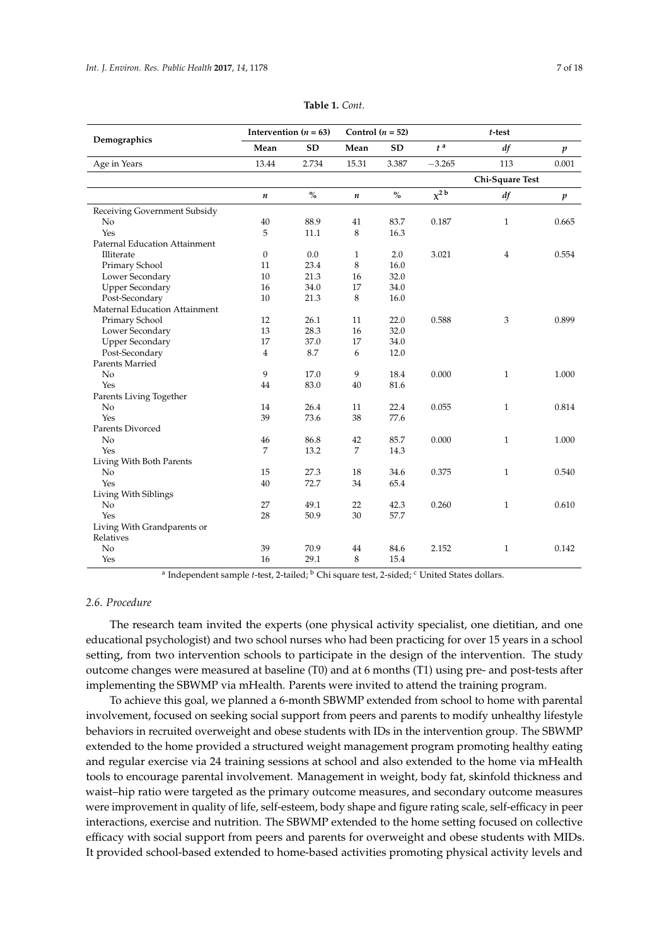| Demographics                         | Intervention ( $n = 63$ ) |           | Control ( $n = 52$ ) |           |                       | t-test          |                  |
|--------------------------------------|---------------------------|-----------|----------------------|-----------|-----------------------|-----------------|------------------|
|                                      | Mean                      | <b>SD</b> | Mean                 | <b>SD</b> | $t^{\,a}$             | df              | $\boldsymbol{p}$ |
| Age in Years                         | 13.44                     | 2.734     | 15.31                | 3.387     | $-3.265$              | 113             | 0.001            |
|                                      |                           |           |                      |           |                       | Chi-Square Test |                  |
|                                      | $\boldsymbol{n}$          | $\%$      | $\boldsymbol{n}$     | $\%$      | $\chi^2$ <sup>b</sup> | df              | $\boldsymbol{p}$ |
| Receiving Government Subsidy         |                           |           |                      |           |                       |                 |                  |
| No                                   | 40                        | 88.9      | 41                   | 83.7      | 0.187                 | $\mathbf{1}$    | 0.665            |
| Yes                                  | 5                         | 11.1      | 8                    | 16.3      |                       |                 |                  |
| <b>Paternal Education Attainment</b> |                           |           |                      |           |                       |                 |                  |
| Illiterate                           | $\mathbf{0}$              | 0.0       | 1                    | 2.0       | 3.021                 | $\overline{4}$  | 0.554            |
| Primary School                       | 11                        | 23.4      | 8                    | 16.0      |                       |                 |                  |
| Lower Secondary                      | 10                        | 21.3      | 16                   | 32.0      |                       |                 |                  |
| <b>Upper Secondary</b>               | 16                        | 34.0      | 17                   | 34.0      |                       |                 |                  |
| Post-Secondary                       | 10                        | 21.3      | 8                    | 16.0      |                       |                 |                  |
| Maternal Education Attainment        |                           |           |                      |           |                       |                 |                  |
| Primary School                       | 12                        | 26.1      | 11                   | 22.0      | 0.588                 | 3               | 0.899            |
| Lower Secondary                      | 13                        | 28.3      | 16                   | 32.0      |                       |                 |                  |
| <b>Upper Secondary</b>               | 17                        | 37.0      | 17                   | 34.0      |                       |                 |                  |
| Post-Secondary                       | $\overline{4}$            | 8.7       | 6                    | 12.0      |                       |                 |                  |
| Parents Married                      |                           |           |                      |           |                       |                 |                  |
| No                                   | 9                         | 17.0      | 9                    | 18.4      | 0.000                 | $\mathbf{1}$    | 1.000            |
| Yes                                  | 44                        | 83.0      | 40                   | 81.6      |                       |                 |                  |
| Parents Living Together              |                           |           |                      |           |                       |                 |                  |
| N <sub>o</sub>                       | 14                        | 26.4      | 11                   | 22.4      | 0.055                 | $\mathbf{1}$    | 0.814            |
| Yes                                  | 39                        | 73.6      | 38                   | 77.6      |                       |                 |                  |
| Parents Divorced                     |                           |           |                      |           |                       |                 |                  |
| No                                   | 46                        | 86.8      | 42                   | 85.7      | 0.000                 | $\mathbf{1}$    | 1.000            |
| Yes                                  | 7                         | 13.2      | $\overline{7}$       | 14.3      |                       |                 |                  |
| Living With Both Parents             |                           |           |                      |           |                       |                 |                  |
| No                                   | 15                        | 27.3      | 18                   | 34.6      | 0.375                 | $\mathbf{1}$    | 0.540            |
| Yes                                  | 40                        | 72.7      | 34                   | 65.4      |                       |                 |                  |
| Living With Siblings                 |                           |           |                      |           |                       |                 |                  |
| N <sub>o</sub>                       | 27                        | 49.1      | 22                   | 42.3      | 0.260                 | $\mathbf{1}$    | 0.610            |
| Yes                                  | 28                        | 50.9      | 30                   | 57.7      |                       |                 |                  |
| Living With Grandparents or          |                           |           |                      |           |                       |                 |                  |
| Relatives                            |                           |           |                      |           |                       |                 |                  |
| No                                   | 39                        | 70.9      | 44                   | 84.6      | 2.152                 | $\mathbf{1}$    | 0.142            |
| Yes                                  | 16                        | 29.1      | 8                    | 15.4      |                       |                 |                  |

|  | Table 1. Cont. |
|--|----------------|
|--|----------------|

<sup>a</sup> Independent sample *t*-test, 2-tailed; <sup>b</sup> Chi square test, 2-sided; <sup>c</sup> United States dollars.

## *2.6. Procedure*

The research team invited the experts (one physical activity specialist, one dietitian, and one educational psychologist) and two school nurses who had been practicing for over 15 years in a school setting, from two intervention schools to participate in the design of the intervention. The study outcome changes were measured at baseline (T0) and at 6 months (T1) using pre- and post-tests after implementing the SBWMP via mHealth. Parents were invited to attend the training program.

To achieve this goal, we planned a 6-month SBWMP extended from school to home with parental involvement, focused on seeking social support from peers and parents to modify unhealthy lifestyle behaviors in recruited overweight and obese students with IDs in the intervention group. The SBWMP extended to the home provided a structured weight management program promoting healthy eating and regular exercise via 24 training sessions at school and also extended to the home via mHealth tools to encourage parental involvement. Management in weight, body fat, skinfold thickness and waist–hip ratio were targeted as the primary outcome measures, and secondary outcome measures were improvement in quality of life, self-esteem, body shape and figure rating scale, self-efficacy in peer interactions, exercise and nutrition. The SBWMP extended to the home setting focused on collective efficacy with social support from peers and parents for overweight and obese students with MIDs. It provided school-based extended to home-based activities promoting physical activity levels and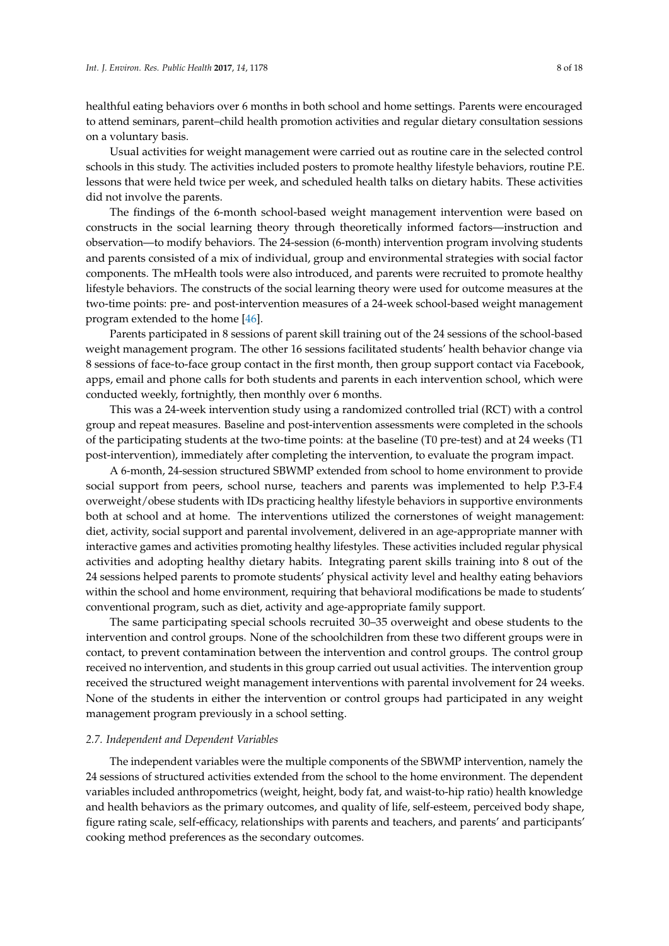healthful eating behaviors over 6 months in both school and home settings. Parents were encouraged to attend seminars, parent–child health promotion activities and regular dietary consultation sessions on a voluntary basis.

Usual activities for weight management were carried out as routine care in the selected control schools in this study. The activities included posters to promote healthy lifestyle behaviors, routine P.E. lessons that were held twice per week, and scheduled health talks on dietary habits. These activities did not involve the parents.

The findings of the 6-month school-based weight management intervention were based on constructs in the social learning theory through theoretically informed factors—instruction and observation—to modify behaviors. The 24-session (6-month) intervention program involving students and parents consisted of a mix of individual, group and environmental strategies with social factor components. The mHealth tools were also introduced, and parents were recruited to promote healthy lifestyle behaviors. The constructs of the social learning theory were used for outcome measures at the two-time points: pre- and post-intervention measures of a 24-week school-based weight management program extended to the home [46].

Parents participated in 8 sessions of parent skill training out of the 24 sessions of the school-based weight management program. The other 16 sessions facilitated students' health behavior change via 8 sessions of face-to-face group contact in the first month, then group support contact via Facebook, apps, email and phone calls for both students and parents in each intervention school, which were conducted weekly, fortnightly, then monthly over 6 months.

This was a 24-week intervention study using a randomized controlled trial (RCT) with a control group and repeat measures. Baseline and post-intervention assessments were completed in the schools of the participating students at the two-time points: at the baseline (T0 pre-test) and at 24 weeks (T1 post-intervention), immediately after completing the intervention, to evaluate the program impact.

A 6-month, 24-session structured SBWMP extended from school to home environment to provide social support from peers, school nurse, teachers and parents was implemented to help P.3-F.4 overweight/obese students with IDs practicing healthy lifestyle behaviors in supportive environments both at school and at home. The interventions utilized the cornerstones of weight management: diet, activity, social support and parental involvement, delivered in an age-appropriate manner with interactive games and activities promoting healthy lifestyles. These activities included regular physical activities and adopting healthy dietary habits. Integrating parent skills training into 8 out of the 24 sessions helped parents to promote students' physical activity level and healthy eating behaviors within the school and home environment, requiring that behavioral modifications be made to students' conventional program, such as diet, activity and age-appropriate family support.

The same participating special schools recruited 30–35 overweight and obese students to the intervention and control groups. None of the schoolchildren from these two different groups were in contact, to prevent contamination between the intervention and control groups. The control group received no intervention, and students in this group carried out usual activities. The intervention group received the structured weight management interventions with parental involvement for 24 weeks. None of the students in either the intervention or control groups had participated in any weight management program previously in a school setting.

#### *2.7. Independent and Dependent Variables*

The independent variables were the multiple components of the SBWMP intervention, namely the 24 sessions of structured activities extended from the school to the home environment. The dependent variables included anthropometrics (weight, height, body fat, and waist-to-hip ratio) health knowledge and health behaviors as the primary outcomes, and quality of life, self-esteem, perceived body shape, figure rating scale, self-efficacy, relationships with parents and teachers, and parents' and participants' cooking method preferences as the secondary outcomes.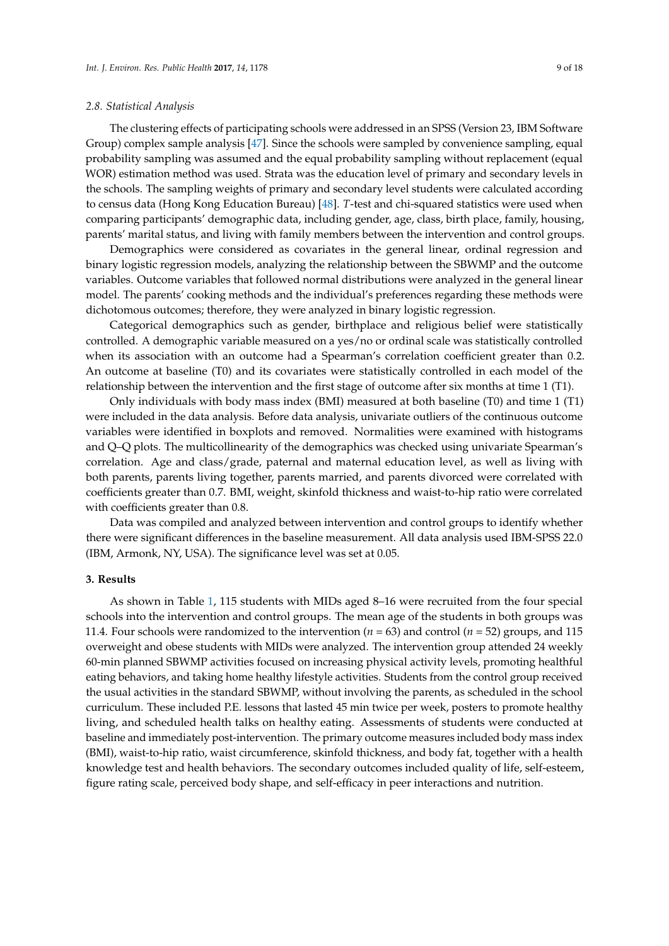## *2.8. Statistical Analysis*

The clustering effects of participating schools were addressed in an SPSS (Version 23, IBM Software Group) complex sample analysis [47]. Since the schools were sampled by convenience sampling, equal probability sampling was assumed and the equal probability sampling without replacement (equal WOR) estimation method was used. Strata was the education level of primary and secondary levels in the schools. The sampling weights of primary and secondary level students were calculated according to census data (Hong Kong Education Bureau) [48]. *T*-test and chi-squared statistics were used when comparing participants' demographic data, including gender, age, class, birth place, family, housing, parents' marital status, and living with family members between the intervention and control groups.

Demographics were considered as covariates in the general linear, ordinal regression and binary logistic regression models, analyzing the relationship between the SBWMP and the outcome variables. Outcome variables that followed normal distributions were analyzed in the general linear model. The parents' cooking methods and the individual's preferences regarding these methods were dichotomous outcomes; therefore, they were analyzed in binary logistic regression.

Categorical demographics such as gender, birthplace and religious belief were statistically controlled. A demographic variable measured on a yes/no or ordinal scale was statistically controlled when its association with an outcome had a Spearman's correlation coefficient greater than 0.2. An outcome at baseline (T0) and its covariates were statistically controlled in each model of the relationship between the intervention and the first stage of outcome after six months at time 1 (T1).

Only individuals with body mass index (BMI) measured at both baseline (T0) and time 1 (T1) were included in the data analysis. Before data analysis, univariate outliers of the continuous outcome variables were identified in boxplots and removed. Normalities were examined with histograms and Q–Q plots. The multicollinearity of the demographics was checked using univariate Spearman's correlation. Age and class/grade, paternal and maternal education level, as well as living with both parents, parents living together, parents married, and parents divorced were correlated with coefficients greater than 0.7. BMI, weight, skinfold thickness and waist-to-hip ratio were correlated with coefficients greater than 0.8.

Data was compiled and analyzed between intervention and control groups to identify whether there were significant differences in the baseline measurement. All data analysis used IBM-SPSS 22.0 (IBM, Armonk, NY, USA). The significance level was set at 0.05.

#### **3. Results**

As shown in Table 1, 115 students with MIDs aged 8–16 were recruited from the four special schools into the intervention and control groups. The mean age of the students in both groups was 11.4. Four schools were randomized to the intervention (*n* = 63) and control (*n* = 52) groups, and 115 overweight and obese students with MIDs were analyzed. The intervention group attended 24 weekly 60-min planned SBWMP activities focused on increasing physical activity levels, promoting healthful eating behaviors, and taking home healthy lifestyle activities. Students from the control group received the usual activities in the standard SBWMP, without involving the parents, as scheduled in the school curriculum. These included P.E. lessons that lasted 45 min twice per week, posters to promote healthy living, and scheduled health talks on healthy eating. Assessments of students were conducted at baseline and immediately post-intervention. The primary outcome measures included body mass index (BMI), waist-to-hip ratio, waist circumference, skinfold thickness, and body fat, together with a health knowledge test and health behaviors. The secondary outcomes included quality of life, self-esteem, figure rating scale, perceived body shape, and self-efficacy in peer interactions and nutrition.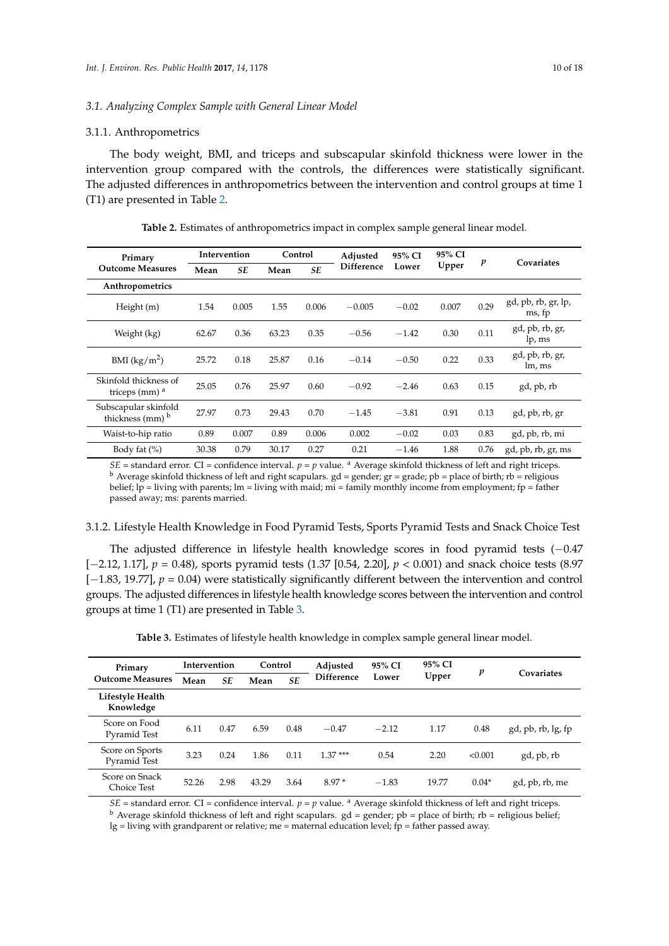#### 3.1.1. Anthropometrics

The body weight, BMI, and triceps and subscapular skinfold thickness were lower in the intervention group compared with the controls, the differences were statistically significant. The adjusted differences in anthropometrics between the intervention and control groups at time 1 (T1) are presented in Table 2.

| Primary                                                       |       | Intervention | Control |           | Adjusted                   | 95% CI  | 95% CI       |                           |                               |
|---------------------------------------------------------------|-------|--------------|---------|-----------|----------------------------|---------|--------------|---------------------------|-------------------------------|
| <b>Outcome Measures</b>                                       | Mean  | <b>SE</b>    | Mean    | <b>SE</b> | <b>Difference</b>          | Lower   | Upper        | p                         | Covariates                    |
| Anthropometrics                                               |       |              |         |           |                            |         |              |                           |                               |
| Height (m)                                                    | 1.54  | 0.005        | 1.55    | 0.006     | $-0.005$                   | $-0.02$ | 0.007        | 0.29                      | gd, pb, rb, gr, lp,<br>ms, fp |
| Weight (kg)                                                   | 62.67 | 0.36         | 63.23   | 0.35      | 0.30<br>$-0.56$<br>$-1.42$ |         | 0.11         | gd, pb, rb, gr,<br>lp, ms |                               |
| BMI $(kg/m^2)$                                                | 25.72 | 0.18         | 25.87   | 0.16      | $-0.14$                    | $-0.50$ | 0.22<br>0.33 |                           | gd, pb, rb, gr,<br>lm, ms     |
| Skinfold thickness of<br>triceps $(mm)^a$                     | 25.05 | 0.76         | 25.97   | 0.60      | $-0.92$                    | $-2.46$ | 0.63         | 0.15                      | gd, pb, rb                    |
| Subscapular skinfold<br>thickness $\text{mm}$ ) $^{\text{b}}$ | 27.97 | 0.73         | 29.43   | 0.70      | $-1.45$                    | $-3.81$ | 0.91         | 0.13                      | gd, pb, rb, gr                |
| Waist-to-hip ratio                                            | 0.89  | 0.007        | 0.89    | 0.006     | 0.002                      | $-0.02$ | 0.03         | 0.83                      | gd, pb, rb, mi                |
| Body fat $(\% )$                                              | 30.38 | 0.79         | 30.17   | 0.27      | 0.21                       | $-1.46$ | 1.88         | 0.76                      | gd, pb, rb, gr, ms            |

**Table 2.** Estimates of anthropometrics impact in complex sample general linear model.

*SE* = standard error. CI = confidence interval. *p* = *p* value. <sup>a</sup> Average skinfold thickness of left and right triceps.  $<sup>b</sup>$  Average skinfold thickness of left and right scapulars. gd = gender; gr = grade; pb = place of birth; rb = religious</sup> belief; lp = living with parents; lm = living with maid; mi = family monthly income from employment; fp = father passed away; ms: parents married.

## 3.1.2. Lifestyle Health Knowledge in Food Pyramid Tests, Sports Pyramid Tests and Snack Choice Test

The adjusted difference in lifestyle health knowledge scores in food pyramid tests (−0.47 [−2.12, 1.17], *p* = 0.48), sports pyramid tests (1.37 [0.54, 2.20], *p* < 0.001) and snack choice tests (8.97 [−1.83, 19.77], *p* = 0.04) were statistically significantly different between the intervention and control groups. The adjusted differences in lifestyle health knowledge scores between the intervention and control groups at time 1 (T1) are presented in Table 3.

|  |  |  |  | Table 3. Estimates of lifestyle health knowledge in complex sample general linear model. |  |
|--|--|--|--|------------------------------------------------------------------------------------------|--|
|  |  |  |  |                                                                                          |  |

| Primary                         | Intervention                    |      | Control           |       | Adjusted  | 95% CI  | 95% CI | p       | Covariates         |
|---------------------------------|---------------------------------|------|-------------------|-------|-----------|---------|--------|---------|--------------------|
| <b>Outcome Measures</b>         | <b>SE</b><br>Mean<br>SE<br>Mean |      | <b>Difference</b> | Lower | Upper     |         |        |         |                    |
| Lifestyle Health<br>Knowledge   |                                 |      |                   |       |           |         |        |         |                    |
| Score on Food<br>Pyramid Test   | 6.11                            | 0.47 | 6.59              | 0.48  | $-0.47$   | $-2.12$ | 1.17   | 0.48    | gd, pb, rb, lg, fp |
| Score on Sports<br>Pyramid Test | 3.23                            | 0.24 | 1.86              | 0.11  | $1.37***$ | 0.54    | 2.20   | < 0.001 | gd, pb, rb         |
| Score on Snack<br>Choice Test   | 52.26                           | 2.98 | 43.29             | 3.64  | $8.97*$   | $-1.83$ | 19.77  | $0.04*$ | gd, pb, rb, me     |

*SE* = standard error. CI = confidence interval. *p* = *p* value. <sup>a</sup> Average skinfold thickness of left and right triceps.

 $<sup>b</sup>$  Average skinfold thickness of left and right scapulars. gd = gender; pb = place of birth; rb = religious belief;</sup>  $lg =$  living with grandparent or relative; me = maternal education level; fp = father passed away.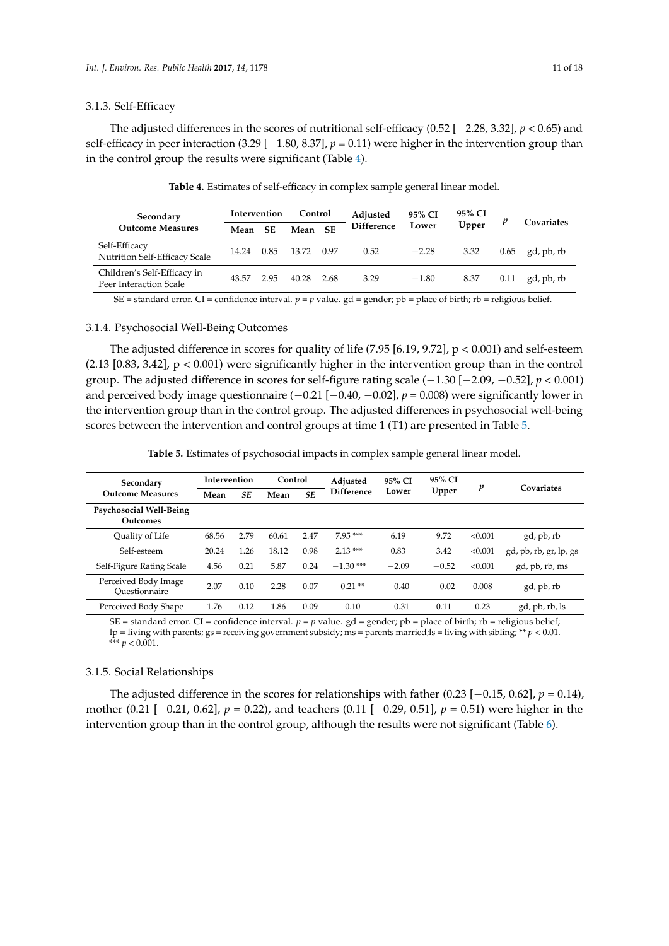#### 3.1.3. Self-Efficacy

The adjusted differences in the scores of nutritional self-efficacy (0.52 [−2.28, 3.32], *p* < 0.65) and self-efficacy in peer interaction (3.29 [−1.80, 8.37], *p* = 0.11) were higher in the intervention group than in the control group the results were significant (Table 4).

| Secondary<br><b>Outcome Measures</b>                  | Intervention |           | Control |       | Adjusted   | 95% CI  | 95% CI |      |            |
|-------------------------------------------------------|--------------|-----------|---------|-------|------------|---------|--------|------|------------|
|                                                       | Mean         | <b>SE</b> | Mean SE |       | Difference | Lower   | Upper  |      | Covariates |
| Self-Efficacy<br>Nutrition Self-Efficacy Scale        | 14.24        | 0.85      | 13.72   | -0.97 | 0.52       | $-2.28$ | 3.32   | 0.65 | gd, pb, rb |
| Children's Self-Efficacy in<br>Peer Interaction Scale | 43.57        | 2.95      | 40.28   | 2.68  | 3.29       | $-1.80$ | 8.37   | 0.11 | gd, pb, rb |

**Table 4.** Estimates of self-efficacy in complex sample general linear model.

SE = standard error. CI = confidence interval.  $p = p$  value. gd = gender;  $pb$  = place of birth; rb = religious belief.

## 3.1.4. Psychosocial Well-Being Outcomes

The adjusted difference in scores for quality of life (7.95 [6.19, 9.72],  $p < 0.001$ ) and self-esteem  $(2.13 \mid 0.83, 3.42]$ ,  $p < 0.001$ ) were significantly higher in the intervention group than in the control group. The adjusted difference in scores for self-figure rating scale (−1.30 [−2.09, −0.52], *p* < 0.001) and perceived body image questionnaire (−0.21 [−0.40, −0.02], *p* = 0.008) were significantly lower in the intervention group than in the control group. The adjusted differences in psychosocial well-being scores between the intervention and control groups at time 1 (T1) are presented in Table 5.

**Table 5.** Estimates of psychosocial impacts in complex sample general linear model.

| Secondary                                  | <b>Intervention</b> |      | Control |           | Adjusted          | 95% CI  | 95% CI  | p       | Covariates             |
|--------------------------------------------|---------------------|------|---------|-----------|-------------------|---------|---------|---------|------------------------|
| <b>Outcome Measures</b>                    | Mean                | SE   | Mean    | <b>SE</b> | <b>Difference</b> | Lower   | Upper   |         |                        |
| Psychosocial Well-Being<br><b>Outcomes</b> |                     |      |         |           |                   |         |         |         |                        |
| Quality of Life                            | 68.56               | 2.79 | 60.61   | 2.47      | $7.95***$         | 6.19    | 9.72    | < 0.001 | gd, pb, rb             |
| Self-esteem                                | 20.24               | 1.26 | 18.12   | 0.98      | $2.13***$         | 0.83    | 3.42    | < 0.001 | gd, pb, rb, gr, lp, gs |
| Self-Figure Rating Scale                   | 4.56                | 0.21 | 5.87    | 0.24      | $-1.30$ ***       | $-2.09$ | $-0.52$ | < 0.001 | gd, pb, rb, ms         |
| Perceived Body Image<br>Ouestionnaire      | 2.07                | 0.10 | 2.28    | 0.07      | $-0.21$ **        | $-0.40$ | $-0.02$ | 0.008   | gd, pb, rb             |
| Perceived Body Shape                       | 1.76                | 0.12 | 1.86    | 0.09      | $-0.10$           | $-0.31$ | 0.11    | 0.23    | gd, pb, rb, ls         |

SE = standard error. CI = confidence interval.  $p = p$  value. gd = gender; pb = place of birth; rb = religious belief; lp = living with parents; gs = receiving government subsidy; ms = parents married;ls = living with sibling; \*\* *p* < 0.01. \*\*\*  $p < 0.001$ .

## 3.1.5. Social Relationships

The adjusted difference in the scores for relationships with father  $(0.23 [-0.15, 0.62], p = 0.14)$ , mother (0.21 [−0.21, 0.62], *p* = 0.22), and teachers (0.11 [−0.29, 0.51], *p* = 0.51) were higher in the intervention group than in the control group, although the results were not significant (Table 6).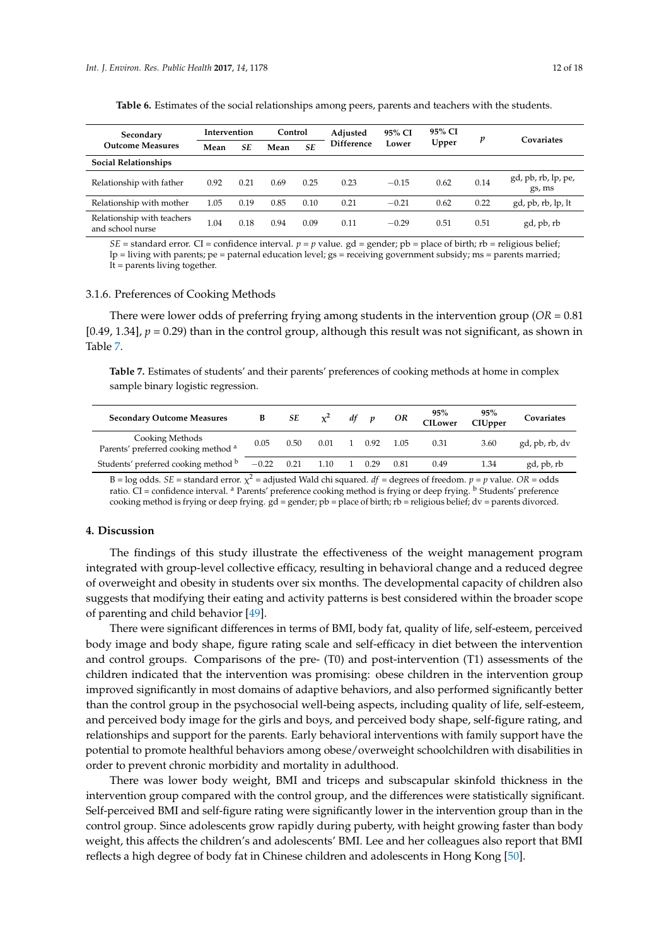| Secondary<br><b>Outcome Measures</b>           | Intervention |      | Control |      | Adjusted          | 95% CI  | 95% CI | p    | Covariates                    |
|------------------------------------------------|--------------|------|---------|------|-------------------|---------|--------|------|-------------------------------|
|                                                | Mean         | SE   | Mean    | SE   | <b>Difference</b> | Lower   | Upper  |      |                               |
| <b>Social Relationships</b>                    |              |      |         |      |                   |         |        |      |                               |
| Relationship with father                       | 0.92         | 0.21 | 0.69    | 0.25 | 0.23              | $-0.15$ | 0.62   | 0.14 | gd, pb, rb, lp, pe,<br>gs, ms |
| Relationship with mother                       | 1.05         | 0.19 | 0.85    | 0.10 | 0.21              | $-0.21$ | 0.62   | 0.22 | gd, pb, rb, lp, lt            |
| Relationship with teachers<br>and school nurse | 1.04         | 0.18 | 0.94    | 0.09 | 0.11              | $-0.29$ | 0.51   | 0.51 | gd, pb, rb                    |

**Table 6.** Estimates of the social relationships among peers, parents and teachers with the students.

 $SE$  = standard error. CI = confidence interval.  $p = p$  value. gd = gender; pb = place of birth; rb = religious belief; lp = living with parents; pe = paternal education level; gs = receiving government subsidy; ms = parents married;  $l_t$  = parents living together.

#### 3.1.6. Preferences of Cooking Methods

There were lower odds of preferring frying among students in the intervention group (*OR* = 0.81 [0.49, 1.34],  $p = 0.29$ ) than in the control group, although this result was not significant, as shown in Table 7.

**Table 7.** Estimates of students' and their parents' preferences of cooking methods at home in complex sample binary logistic regression.

| <b>Secondary Outcome Measures</b>                                 | B       | SE   | $\chi^2$ | df           | p    | OR   | 95%<br><b>CILower</b> | 95%<br>CIUpper | Covariates     |
|-------------------------------------------------------------------|---------|------|----------|--------------|------|------|-----------------------|----------------|----------------|
| Cooking Methods<br>Parents' preferred cooking method <sup>a</sup> | 0.05    | 0.50 | 0.01     | $\mathbf{1}$ | 0.92 | 1.05 | 0.31                  | 3.60           | gd, pb, rb, dv |
| Students' preferred cooking method b                              | $-0.22$ | 0.21 | 1.10     | - 1 -        | 0.29 | 0.81 | 0.49                  | 1.34           | gd, pb, rb     |

B = log odds. *SE* = standard error.  $\chi^2$  = adjusted Wald chi squared. *df* = degrees of freedom. *p* = *p* value. *OR* = odds ratio. CI = confidence interval. <sup>a</sup> Parents' preference cooking method is frying or deep frying. <sup>b</sup> Students' preference cooking method is frying or deep frying.  $gd =$  gender;  $pb =$  place of birth;  $rb =$  religious belief;  $dv =$  parents divorced.

#### **4. Discussion**

The findings of this study illustrate the effectiveness of the weight management program integrated with group-level collective efficacy, resulting in behavioral change and a reduced degree of overweight and obesity in students over six months. The developmental capacity of children also suggests that modifying their eating and activity patterns is best considered within the broader scope of parenting and child behavior [49].

There were significant differences in terms of BMI, body fat, quality of life, self-esteem, perceived body image and body shape, figure rating scale and self-efficacy in diet between the intervention and control groups. Comparisons of the pre- (T0) and post-intervention (T1) assessments of the children indicated that the intervention was promising: obese children in the intervention group improved significantly in most domains of adaptive behaviors, and also performed significantly better than the control group in the psychosocial well-being aspects, including quality of life, self-esteem, and perceived body image for the girls and boys, and perceived body shape, self-figure rating, and relationships and support for the parents. Early behavioral interventions with family support have the potential to promote healthful behaviors among obese/overweight schoolchildren with disabilities in order to prevent chronic morbidity and mortality in adulthood.

There was lower body weight, BMI and triceps and subscapular skinfold thickness in the intervention group compared with the control group, and the differences were statistically significant. Self-perceived BMI and self-figure rating were significantly lower in the intervention group than in the control group. Since adolescents grow rapidly during puberty, with height growing faster than body weight, this affects the children's and adolescents' BMI. Lee and her colleagues also report that BMI reflects a high degree of body fat in Chinese children and adolescents in Hong Kong [50].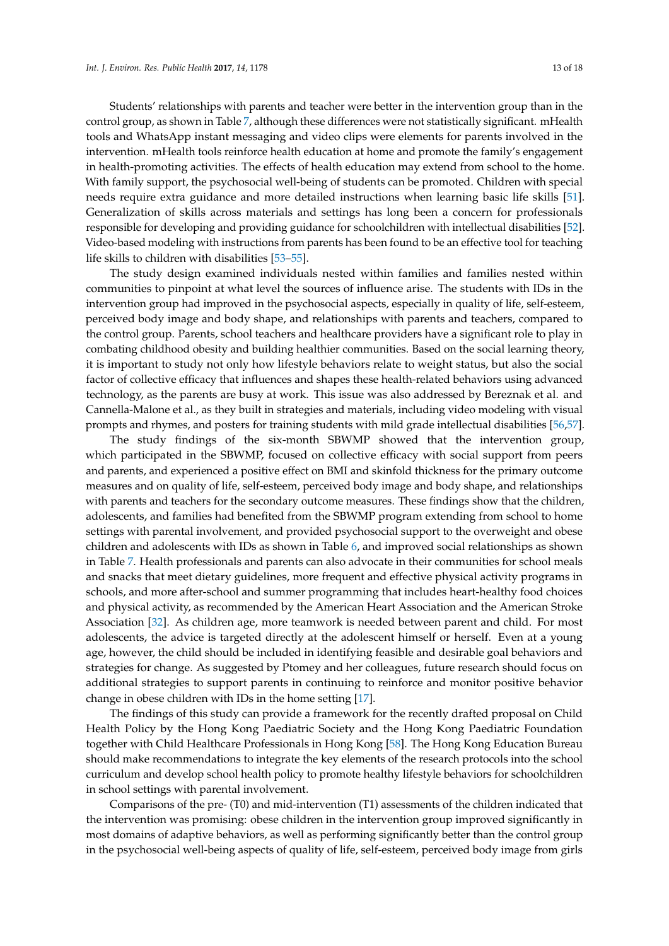Students' relationships with parents and teacher were better in the intervention group than in the control group, as shown in Table 7, although these differences were not statistically significant. mHealth tools and WhatsApp instant messaging and video clips were elements for parents involved in the intervention. mHealth tools reinforce health education at home and promote the family's engagement in health-promoting activities. The effects of health education may extend from school to the home. With family support, the psychosocial well-being of students can be promoted. Children with special needs require extra guidance and more detailed instructions when learning basic life skills [51]. Generalization of skills across materials and settings has long been a concern for professionals responsible for developing and providing guidance for schoolchildren with intellectual disabilities [52]. Video-based modeling with instructions from parents has been found to be an effective tool for teaching life skills to children with disabilities [53–55].

The study design examined individuals nested within families and families nested within communities to pinpoint at what level the sources of influence arise. The students with IDs in the intervention group had improved in the psychosocial aspects, especially in quality of life, self-esteem, perceived body image and body shape, and relationships with parents and teachers, compared to the control group. Parents, school teachers and healthcare providers have a significant role to play in combating childhood obesity and building healthier communities. Based on the social learning theory, it is important to study not only how lifestyle behaviors relate to weight status, but also the social factor of collective efficacy that influences and shapes these health-related behaviors using advanced technology, as the parents are busy at work. This issue was also addressed by Bereznak et al. and Cannella-Malone et al., as they built in strategies and materials, including video modeling with visual prompts and rhymes, and posters for training students with mild grade intellectual disabilities [56,57].

The study findings of the six-month SBWMP showed that the intervention group, which participated in the SBWMP, focused on collective efficacy with social support from peers and parents, and experienced a positive effect on BMI and skinfold thickness for the primary outcome measures and on quality of life, self-esteem, perceived body image and body shape, and relationships with parents and teachers for the secondary outcome measures. These findings show that the children, adolescents, and families had benefited from the SBWMP program extending from school to home settings with parental involvement, and provided psychosocial support to the overweight and obese children and adolescents with IDs as shown in Table 6, and improved social relationships as shown in Table 7. Health professionals and parents can also advocate in their communities for school meals and snacks that meet dietary guidelines, more frequent and effective physical activity programs in schools, and more after-school and summer programming that includes heart-healthy food choices and physical activity, as recommended by the American Heart Association and the American Stroke Association [32]. As children age, more teamwork is needed between parent and child. For most adolescents, the advice is targeted directly at the adolescent himself or herself. Even at a young age, however, the child should be included in identifying feasible and desirable goal behaviors and strategies for change. As suggested by Ptomey and her colleagues, future research should focus on additional strategies to support parents in continuing to reinforce and monitor positive behavior change in obese children with IDs in the home setting [17].

The findings of this study can provide a framework for the recently drafted proposal on Child Health Policy by the Hong Kong Paediatric Society and the Hong Kong Paediatric Foundation together with Child Healthcare Professionals in Hong Kong [58]. The Hong Kong Education Bureau should make recommendations to integrate the key elements of the research protocols into the school curriculum and develop school health policy to promote healthy lifestyle behaviors for schoolchildren in school settings with parental involvement.

Comparisons of the pre- (T0) and mid-intervention (T1) assessments of the children indicated that the intervention was promising: obese children in the intervention group improved significantly in most domains of adaptive behaviors, as well as performing significantly better than the control group in the psychosocial well-being aspects of quality of life, self-esteem, perceived body image from girls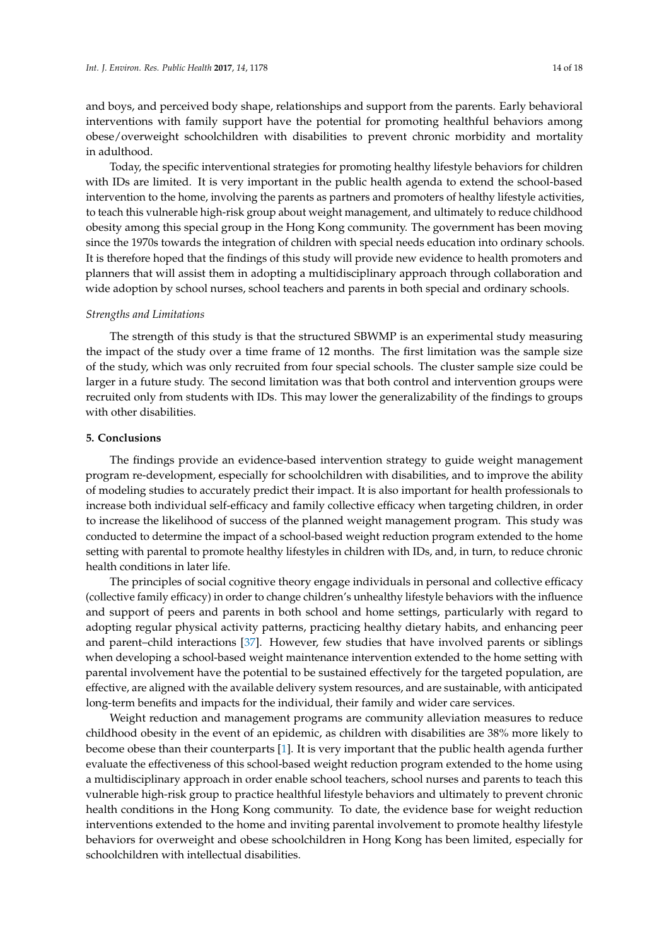and boys, and perceived body shape, relationships and support from the parents. Early behavioral interventions with family support have the potential for promoting healthful behaviors among obese/overweight schoolchildren with disabilities to prevent chronic morbidity and mortality in adulthood.

Today, the specific interventional strategies for promoting healthy lifestyle behaviors for children with IDs are limited. It is very important in the public health agenda to extend the school-based intervention to the home, involving the parents as partners and promoters of healthy lifestyle activities, to teach this vulnerable high-risk group about weight management, and ultimately to reduce childhood obesity among this special group in the Hong Kong community. The government has been moving since the 1970s towards the integration of children with special needs education into ordinary schools. It is therefore hoped that the findings of this study will provide new evidence to health promoters and planners that will assist them in adopting a multidisciplinary approach through collaboration and wide adoption by school nurses, school teachers and parents in both special and ordinary schools.

## *Strengths and Limitations*

The strength of this study is that the structured SBWMP is an experimental study measuring the impact of the study over a time frame of 12 months. The first limitation was the sample size of the study, which was only recruited from four special schools. The cluster sample size could be larger in a future study. The second limitation was that both control and intervention groups were recruited only from students with IDs. This may lower the generalizability of the findings to groups with other disabilities.

## **5. Conclusions**

The findings provide an evidence-based intervention strategy to guide weight management program re-development, especially for schoolchildren with disabilities, and to improve the ability of modeling studies to accurately predict their impact. It is also important for health professionals to increase both individual self-efficacy and family collective efficacy when targeting children, in order to increase the likelihood of success of the planned weight management program. This study was conducted to determine the impact of a school-based weight reduction program extended to the home setting with parental to promote healthy lifestyles in children with IDs, and, in turn, to reduce chronic health conditions in later life.

The principles of social cognitive theory engage individuals in personal and collective efficacy (collective family efficacy) in order to change children's unhealthy lifestyle behaviors with the influence and support of peers and parents in both school and home settings, particularly with regard to adopting regular physical activity patterns, practicing healthy dietary habits, and enhancing peer and parent–child interactions [37]. However, few studies that have involved parents or siblings when developing a school-based weight maintenance intervention extended to the home setting with parental involvement have the potential to be sustained effectively for the targeted population, are effective, are aligned with the available delivery system resources, and are sustainable, with anticipated long-term benefits and impacts for the individual, their family and wider care services.

Weight reduction and management programs are community alleviation measures to reduce childhood obesity in the event of an epidemic, as children with disabilities are 38% more likely to become obese than their counterparts [1]. It is very important that the public health agenda further evaluate the effectiveness of this school-based weight reduction program extended to the home using a multidisciplinary approach in order enable school teachers, school nurses and parents to teach this vulnerable high-risk group to practice healthful lifestyle behaviors and ultimately to prevent chronic health conditions in the Hong Kong community. To date, the evidence base for weight reduction interventions extended to the home and inviting parental involvement to promote healthy lifestyle behaviors for overweight and obese schoolchildren in Hong Kong has been limited, especially for schoolchildren with intellectual disabilities.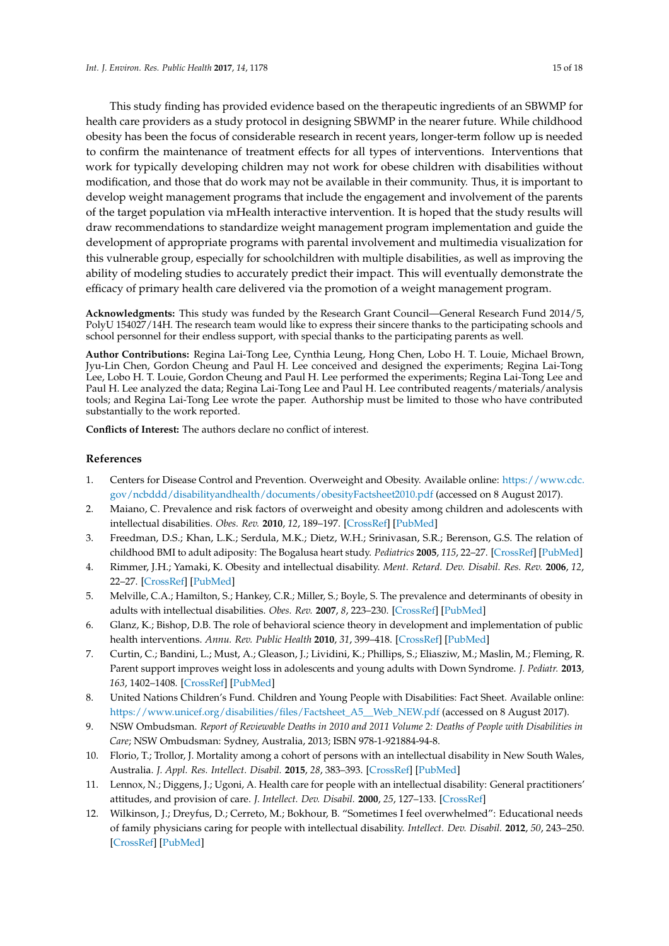This study finding has provided evidence based on the therapeutic ingredients of an SBWMP for health care providers as a study protocol in designing SBWMP in the nearer future. While childhood obesity has been the focus of considerable research in recent years, longer-term follow up is needed to confirm the maintenance of treatment effects for all types of interventions. Interventions that work for typically developing children may not work for obese children with disabilities without modification, and those that do work may not be available in their community. Thus, it is important to develop weight management programs that include the engagement and involvement of the parents of the target population via mHealth interactive intervention. It is hoped that the study results will draw recommendations to standardize weight management program implementation and guide the development of appropriate programs with parental involvement and multimedia visualization for this vulnerable group, especially for schoolchildren with multiple disabilities, as well as improving the ability of modeling studies to accurately predict their impact. This will eventually demonstrate the efficacy of primary health care delivered via the promotion of a weight management program.

**Acknowledgments:** This study was funded by the Research Grant Council—General Research Fund 2014/5, PolyU 154027/14H. The research team would like to express their sincere thanks to the participating schools and school personnel for their endless support, with special thanks to the participating parents as well.

**Author Contributions:** Regina Lai-Tong Lee, Cynthia Leung, Hong Chen, Lobo H. T. Louie, Michael Brown, Jyu-Lin Chen, Gordon Cheung and Paul H. Lee conceived and designed the experiments; Regina Lai-Tong Lee, Lobo H. T. Louie, Gordon Cheung and Paul H. Lee performed the experiments; Regina Lai-Tong Lee and Paul H. Lee analyzed the data; Regina Lai-Tong Lee and Paul H. Lee contributed reagents/materials/analysis tools; and Regina Lai-Tong Lee wrote the paper. Authorship must be limited to those who have contributed substantially to the work reported.

**Conflicts of Interest:** The authors declare no conflict of interest.

## **References**

- 1. Centers for Disease Control and Prevention. Overweight and Obesity. Available online: [https://www.cdc.](https://www.cdc.gov/ncbddd/disabilityandhealth/documents/obesityFactsheet2010.pdf) [gov/ncbddd/disabilityandhealth/documents/obesityFactsheet2010.pdf](https://www.cdc.gov/ncbddd/disabilityandhealth/documents/obesityFactsheet2010.pdf) (accessed on 8 August 2017).
- 2. Maiano, C. Prevalence and risk factors of overweight and obesity among children and adolescents with intellectual disabilities. *Obes. Rev.* **2010**, *12*, 189–197. [\[CrossRef\]](http://dx.doi.org/10.1111/j.1467-789X.2010.00744.x) [\[PubMed\]](http://www.ncbi.nlm.nih.gov/pubmed/20406413)
- 3. Freedman, D.S.; Khan, L.K.; Serdula, M.K.; Dietz, W.H.; Srinivasan, S.R.; Berenson, G.S. The relation of childhood BMI to adult adiposity: The Bogalusa heart study. *Pediatrics* **2005**, *115*, 22–27. [\[CrossRef\]](http://dx.doi.org/10.1542/peds.2004-0220) [\[PubMed\]](http://www.ncbi.nlm.nih.gov/pubmed/15629977)
- 4. Rimmer, J.H.; Yamaki, K. Obesity and intellectual disability. *Ment. Retard. Dev. Disabil. Res. Rev.* **2006**, *12*, 22–27. [\[CrossRef\]](http://dx.doi.org/10.1002/mrdd.20091) [\[PubMed\]](http://www.ncbi.nlm.nih.gov/pubmed/16435329)
- 5. Melville, C.A.; Hamilton, S.; Hankey, C.R.; Miller, S.; Boyle, S. The prevalence and determinants of obesity in adults with intellectual disabilities. *Obes. Rev.* **2007**, *8*, 223–230. [\[CrossRef\]](http://dx.doi.org/10.1111/j.1467-789X.2006.00296.x) [\[PubMed\]](http://www.ncbi.nlm.nih.gov/pubmed/17444964)
- 6. Glanz, K.; Bishop, D.B. The role of behavioral science theory in development and implementation of public health interventions. *Annu. Rev. Public Health* **2010**, *31*, 399–418. [\[CrossRef\]](http://dx.doi.org/10.1146/annurev.publhealth.012809.103604) [\[PubMed\]](http://www.ncbi.nlm.nih.gov/pubmed/20070207)
- 7. Curtin, C.; Bandini, L.; Must, A.; Gleason, J.; Lividini, K.; Phillips, S.; Eliasziw, M.; Maslin, M.; Fleming, R. Parent support improves weight loss in adolescents and young adults with Down Syndrome. *J. Pediatr.* **2013**, *163*, 1402–1408. [\[CrossRef\]](http://dx.doi.org/10.1016/j.jpeds.2013.06.081) [\[PubMed\]](http://www.ncbi.nlm.nih.gov/pubmed/23968742)
- 8. United Nations Children's Fund. Children and Young People with Disabilities: Fact Sheet. Available online: [https://www.unicef.org/disabilities/files/Factsheet\\_A5\\_\\_Web\\_NEW.pdf](https://www.unicef.org/disabilities/files/Factsheet_A5__Web_NEW.pdf) (accessed on 8 August 2017).
- 9. NSW Ombudsman. *Report of Reviewable Deaths in 2010 and 2011 Volume 2: Deaths of People with Disabilities in Care*; NSW Ombudsman: Sydney, Australia, 2013; ISBN 978-1-921884-94-8.
- 10. Florio, T.; Trollor, J. Mortality among a cohort of persons with an intellectual disability in New South Wales, Australia. *J. Appl. Res. Intellect. Disabil.* **2015**, *28*, 383–393. [\[CrossRef\]](http://dx.doi.org/10.1111/jar.12190) [\[PubMed\]](http://www.ncbi.nlm.nih.gov/pubmed/25994286)
- 11. Lennox, N.; Diggens, J.; Ugoni, A. Health care for people with an intellectual disability: General practitioners' attitudes, and provision of care. *J. Intellect. Dev. Disabil.* **2000**, *25*, 127–133. [\[CrossRef\]](http://dx.doi.org/10.1080/13269780050033544)
- 12. Wilkinson, J.; Dreyfus, D.; Cerreto, M.; Bokhour, B. "Sometimes I feel overwhelmed": Educational needs of family physicians caring for people with intellectual disability. *Intellect. Dev. Disabil.* **2012**, *50*, 243–250. [\[CrossRef\]](http://dx.doi.org/10.1352/1934-9556-50.3.243) [\[PubMed\]](http://www.ncbi.nlm.nih.gov/pubmed/22731973)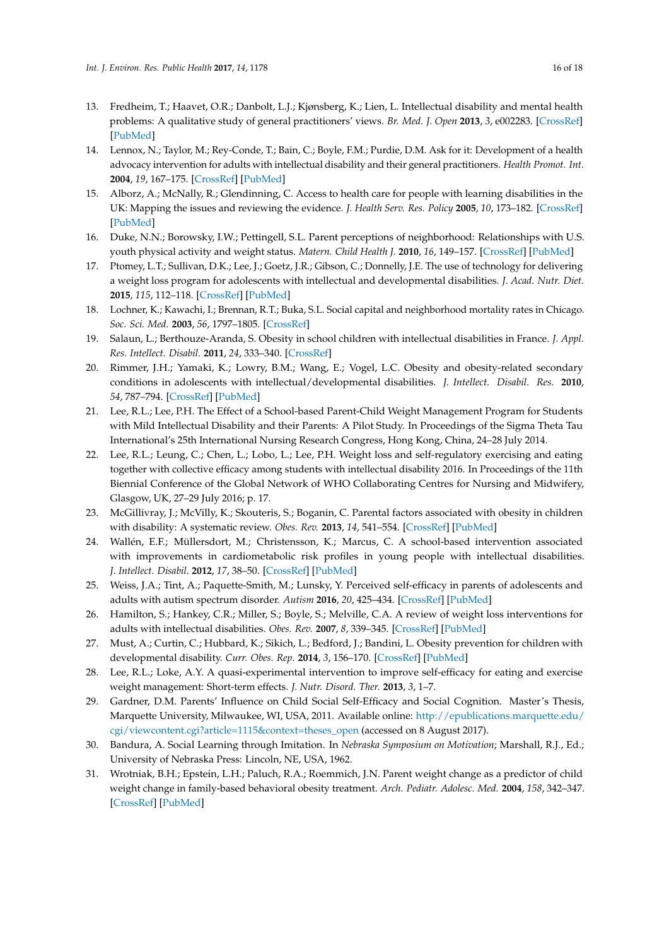- 13. Fredheim, T.; Haavet, O.R.; Danbolt, L.J.; Kjønsberg, K.; Lien, L. Intellectual disability and mental health problems: A qualitative study of general practitioners' views. *Br. Med. J. Open* **2013**, *3*, e002283. [\[CrossRef\]](http://dx.doi.org/10.1136/bmjopen-2012-002283) [\[PubMed\]](http://www.ncbi.nlm.nih.gov/pubmed/23471607)
- 14. Lennox, N.; Taylor, M.; Rey-Conde, T.; Bain, C.; Boyle, F.M.; Purdie, D.M. Ask for it: Development of a health advocacy intervention for adults with intellectual disability and their general practitioners. *Health Promot. Int.* **2004**, *19*, 167–175. [\[CrossRef\]](http://dx.doi.org/10.1093/heapro/dah204) [\[PubMed\]](http://www.ncbi.nlm.nih.gov/pubmed/15128708)
- 15. Alborz, A.; McNally, R.; Glendinning, C. Access to health care for people with learning disabilities in the UK: Mapping the issues and reviewing the evidence. *J. Health Serv. Res. Policy* **2005**, *10*, 173–182. [\[CrossRef\]](http://dx.doi.org/10.1258/1355819054338997) [\[PubMed\]](http://www.ncbi.nlm.nih.gov/pubmed/16053595)
- 16. Duke, N.N.; Borowsky, I.W.; Pettingell, S.L. Parent perceptions of neighborhood: Relationships with U.S. youth physical activity and weight status. *Matern. Child Health J.* **2010**, *16*, 149–157. [\[CrossRef\]](http://dx.doi.org/10.1007/s10995-010-0731-3) [\[PubMed\]](http://www.ncbi.nlm.nih.gov/pubmed/21153758)
- 17. Ptomey, L.T.; Sullivan, D.K.; Lee, J.; Goetz, J.R.; Gibson, C.; Donnelly, J.E. The use of technology for delivering a weight loss program for adolescents with intellectual and developmental disabilities. *J. Acad. Nutr. Diet.* **2015**, *115*, 112–118. [\[CrossRef\]](http://dx.doi.org/10.1016/j.jand.2014.08.031) [\[PubMed\]](http://www.ncbi.nlm.nih.gov/pubmed/25441960)
- 18. Lochner, K.; Kawachi, I.; Brennan, R.T.; Buka, S.L. Social capital and neighborhood mortality rates in Chicago. *Soc. Sci. Med.* **2003**, *56*, 1797–1805. [\[CrossRef\]](http://dx.doi.org/10.1016/S0277-9536(02)00177-6)
- 19. Salaun, L.; Berthouze-Aranda, S. Obesity in school children with intellectual disabilities in France. *J. Appl. Res. Intellect. Disabil.* **2011**, *24*, 333–340. [\[CrossRef\]](http://dx.doi.org/10.1111/j.1468-3148.2010.00612.x)
- 20. Rimmer, J.H.; Yamaki, K.; Lowry, B.M.; Wang, E.; Vogel, L.C. Obesity and obesity-related secondary conditions in adolescents with intellectual/developmental disabilities. *J. Intellect. Disabil. Res.* **2010**, *54*, 787–794. [\[CrossRef\]](http://dx.doi.org/10.1111/j.1365-2788.2010.01305.x) [\[PubMed\]](http://www.ncbi.nlm.nih.gov/pubmed/20630017)
- 21. Lee, R.L.; Lee, P.H. The Effect of a School-based Parent-Child Weight Management Program for Students with Mild Intellectual Disability and their Parents: A Pilot Study. In Proceedings of the Sigma Theta Tau International's 25th International Nursing Research Congress, Hong Kong, China, 24–28 July 2014.
- 22. Lee, R.L.; Leung, C.; Chen, L.; Lobo, L.; Lee, P.H. Weight loss and self-regulatory exercising and eating together with collective efficacy among students with intellectual disability 2016. In Proceedings of the 11th Biennial Conference of the Global Network of WHO Collaborating Centres for Nursing and Midwifery, Glasgow, UK, 27–29 July 2016; p. 17.
- 23. McGillivray, J.; McVilly, K.; Skouteris, S.; Boganin, C. Parental factors associated with obesity in children with disability: A systematic review. *Obes. Rev.* **2013**, *14*, 541–554. [\[CrossRef\]](http://dx.doi.org/10.1111/obr.12031) [\[PubMed\]](http://www.ncbi.nlm.nih.gov/pubmed/23527696)
- 24. Wallén, E.F.; Müllersdort, M.; Christensson, K.; Marcus, C. A school-based intervention associated with improvements in cardiometabolic risk profiles in young people with intellectual disabilities. *J. Intellect. Disabil.* **2012**, *17*, 38–50. [\[CrossRef\]](http://dx.doi.org/10.1177/1744629512472116) [\[PubMed\]](http://www.ncbi.nlm.nih.gov/pubmed/23322342)
- 25. Weiss, J.A.; Tint, A.; Paquette-Smith, M.; Lunsky, Y. Perceived self-efficacy in parents of adolescents and adults with autism spectrum disorder. *Autism* **2016**, *20*, 425–434. [\[CrossRef\]](http://dx.doi.org/10.1177/1362361315586292) [\[PubMed\]](http://www.ncbi.nlm.nih.gov/pubmed/26019305)
- 26. Hamilton, S.; Hankey, C.R.; Miller, S.; Boyle, S.; Melville, C.A. A review of weight loss interventions for adults with intellectual disabilities. *Obes. Rev.* **2007**, *8*, 339–345. [\[CrossRef\]](http://dx.doi.org/10.1111/j.1467-789X.2006.00307.x) [\[PubMed\]](http://www.ncbi.nlm.nih.gov/pubmed/17578383)
- 27. Must, A.; Curtin, C.; Hubbard, K.; Sikich, L.; Bedford, J.; Bandini, L. Obesity prevention for children with developmental disability. *Curr. Obes. Rep.* **2014**, *3*, 156–170. [\[CrossRef\]](http://dx.doi.org/10.1007/s13679-014-0098-7) [\[PubMed\]](http://www.ncbi.nlm.nih.gov/pubmed/25530916)
- 28. Lee, R.L.; Loke, A.Y. A quasi-experimental intervention to improve self-efficacy for eating and exercise weight management: Short-term effects. *J. Nutr. Disord. Ther.* **2013**, *3*, 1–7.
- 29. Gardner, D.M. Parents' Influence on Child Social Self-Efficacy and Social Cognition. Master's Thesis, Marquette University, Milwaukee, WI, USA, 2011. Available online: [http://epublications.marquette.edu/](http://epublications.marquette.edu/cgi/viewcontent.cgi?article=1115&context=theses_open) [cgi/viewcontent.cgi?article=1115&context=theses\\_open](http://epublications.marquette.edu/cgi/viewcontent.cgi?article=1115&context=theses_open) (accessed on 8 August 2017).
- 30. Bandura, A. Social Learning through Imitation. In *Nebraska Symposium on Motivation*; Marshall, R.J., Ed.; University of Nebraska Press: Lincoln, NE, USA, 1962.
- 31. Wrotniak, B.H.; Epstein, L.H.; Paluch, R.A.; Roemmich, J.N. Parent weight change as a predictor of child weight change in family-based behavioral obesity treatment. *Arch. Pediatr. Adolesc. Med.* **2004**, *158*, 342–347. [\[CrossRef\]](http://dx.doi.org/10.1001/archpedi.158.4.342) [\[PubMed\]](http://www.ncbi.nlm.nih.gov/pubmed/15066873)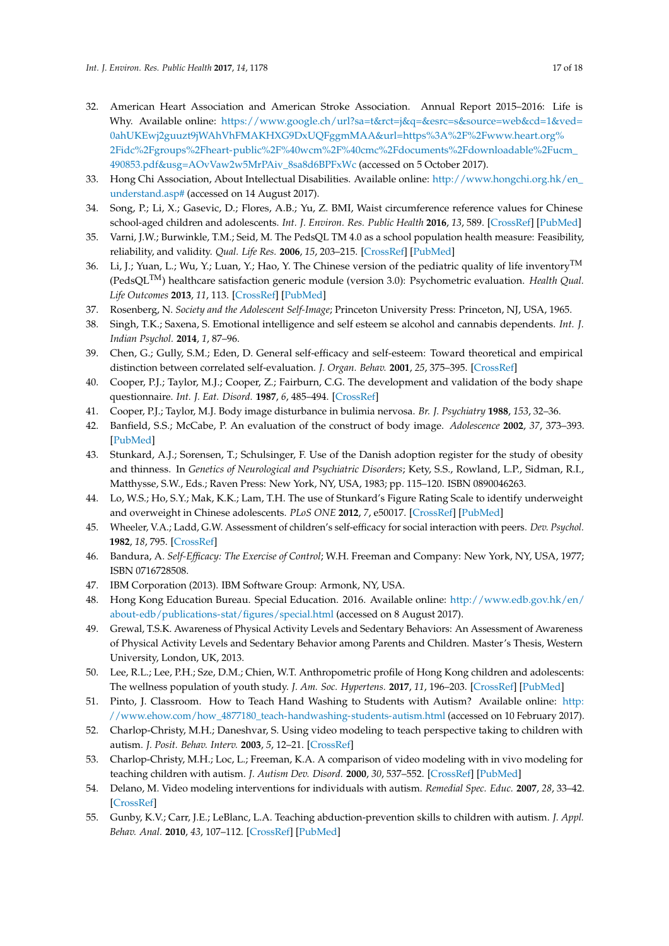- 32. American Heart Association and American Stroke Association. Annual Report 2015–2016: Life is Why. Available online: [https://www.google.ch/url?sa=t&rct=j&q=&esrc=s&source=web&cd=1&ved=](https://www.google.ch/url?sa=t&rct=j&q=&esrc=s&source=web&cd=1&ved=0ahUKEwj2guuzt9jWAhVhFMAKHXG9DxUQFggmMAA&url=https%3A%2F%2Fwww.heart.org%2Fidc%2Fgroups%2Fheart-public%2F%40wcm%2F%40cmc%2Fdocuments%2Fdownloadable%2Fucm_490853.pdf&usg=AOvVaw2w5MrPAiv_8sa8d6BPFxWc) [0ahUKEwj2guuzt9jWAhVhFMAKHXG9DxUQFggmMAA&url=https%3A%2F%2Fwww.heart.org%](https://www.google.ch/url?sa=t&rct=j&q=&esrc=s&source=web&cd=1&ved=0ahUKEwj2guuzt9jWAhVhFMAKHXG9DxUQFggmMAA&url=https%3A%2F%2Fwww.heart.org%2Fidc%2Fgroups%2Fheart-public%2F%40wcm%2F%40cmc%2Fdocuments%2Fdownloadable%2Fucm_490853.pdf&usg=AOvVaw2w5MrPAiv_8sa8d6BPFxWc) [2Fidc%2Fgroups%2Fheart-public%2F%40wcm%2F%40cmc%2Fdocuments%2Fdownloadable%2Fucm\\_](https://www.google.ch/url?sa=t&rct=j&q=&esrc=s&source=web&cd=1&ved=0ahUKEwj2guuzt9jWAhVhFMAKHXG9DxUQFggmMAA&url=https%3A%2F%2Fwww.heart.org%2Fidc%2Fgroups%2Fheart-public%2F%40wcm%2F%40cmc%2Fdocuments%2Fdownloadable%2Fucm_490853.pdf&usg=AOvVaw2w5MrPAiv_8sa8d6BPFxWc) [490853.pdf&usg=AOvVaw2w5MrPAiv\\_8sa8d6BPFxWc](https://www.google.ch/url?sa=t&rct=j&q=&esrc=s&source=web&cd=1&ved=0ahUKEwj2guuzt9jWAhVhFMAKHXG9DxUQFggmMAA&url=https%3A%2F%2Fwww.heart.org%2Fidc%2Fgroups%2Fheart-public%2F%40wcm%2F%40cmc%2Fdocuments%2Fdownloadable%2Fucm_490853.pdf&usg=AOvVaw2w5MrPAiv_8sa8d6BPFxWc) (accessed on 5 October 2017).
- 33. Hong Chi Association, About Intellectual Disabilities. Available online: [http://www.hongchi.org.hk/en\\_](http://www.hongchi.org.hk/en_understand.asp#) [understand.asp#](http://www.hongchi.org.hk/en_understand.asp#) (accessed on 14 August 2017).
- 34. Song, P.; Li, X.; Gasevic, D.; Flores, A.B.; Yu, Z. BMI, Waist circumference reference values for Chinese school-aged children and adolescents. *Int. J. Environ. Res. Public Health* **2016**, *13*, 589. [\[CrossRef\]](http://dx.doi.org/10.3390/ijerph13060589) [\[PubMed\]](http://www.ncbi.nlm.nih.gov/pubmed/27314368)
- 35. Varni, J.W.; Burwinkle, T.M.; Seid, M. The PedsQL TM 4.0 as a school population health measure: Feasibility, reliability, and validity. *Qual. Life Res.* **2006**, *15*, 203–215. [\[CrossRef\]](http://dx.doi.org/10.1007/s11136-005-1388-z) [\[PubMed\]](http://www.ncbi.nlm.nih.gov/pubmed/16468077)
- 36. Li, J.; Yuan, L.; Wu, Y.; Luan, Y.; Hao, Y. The Chinese version of the pediatric quality of life inventory<sup>TM</sup> (PedsQLTM) healthcare satisfaction generic module (version 3.0): Psychometric evaluation. *Health Qual. Life Outcomes* **2013**, *11*, 113. [\[CrossRef\]](http://dx.doi.org/10.1186/1477-7525-11-113) [\[PubMed\]](http://www.ncbi.nlm.nih.gov/pubmed/23826663)
- 37. Rosenberg, N. *Society and the Adolescent Self-Image*; Princeton University Press: Princeton, NJ, USA, 1965.
- 38. Singh, T.K.; Saxena, S. Emotional intelligence and self esteem se alcohol and cannabis dependents. *Int. J. Indian Psychol.* **2014**, *1*, 87–96.
- 39. Chen, G.; Gully, S.M.; Eden, D. General self-efficacy and self-esteem: Toward theoretical and empirical distinction between correlated self-evaluation. *J. Organ. Behav.* **2001**, *25*, 375–395. [\[CrossRef\]](http://dx.doi.org/10.1002/job.251)
- 40. Cooper, P.J.; Taylor, M.J.; Cooper, Z.; Fairburn, C.G. The development and validation of the body shape questionnaire. *Int. J. Eat. Disord.* **1987**, *6*, 485–494. [\[CrossRef\]](http://dx.doi.org/10.1002/1098-108X(198707)6:4<485::AID-EAT2260060405>3.0.CO;2-O)
- 41. Cooper, P.J.; Taylor, M.J. Body image disturbance in bulimia nervosa. *Br. J. Psychiatry* **1988**, *153*, 32–36.
- 42. Banfield, S.S.; McCabe, P. An evaluation of the construct of body image. *Adolescence* **2002**, *37*, 373–393. [\[PubMed\]](http://www.ncbi.nlm.nih.gov/pubmed/12144166)
- 43. Stunkard, A.J.; Sorensen, T.; Schulsinger, F. Use of the Danish adoption register for the study of obesity and thinness. In *Genetics of Neurological and Psychiatric Disorders*; Kety, S.S., Rowland, L.P., Sidman, R.I., Matthysse, S.W., Eds.; Raven Press: New York, NY, USA, 1983; pp. 115–120. ISBN 0890046263.
- 44. Lo, W.S.; Ho, S.Y.; Mak, K.K.; Lam, T.H. The use of Stunkard's Figure Rating Scale to identify underweight and overweight in Chinese adolescents. *PLoS ONE* **2012**, *7*, e50017. [\[CrossRef\]](http://dx.doi.org/10.1371/journal.pone.0050017) [\[PubMed\]](http://www.ncbi.nlm.nih.gov/pubmed/23189177)
- 45. Wheeler, V.A.; Ladd, G.W. Assessment of children's self-efficacy for social interaction with peers. *Dev. Psychol.* **1982**, *18*, 795. [\[CrossRef\]](http://dx.doi.org/10.1037/0012-1649.18.6.795)
- 46. Bandura, A. *Self-Efficacy: The Exercise of Control*; W.H. Freeman and Company: New York, NY, USA, 1977; ISBN 0716728508.
- 47. IBM Corporation (2013). IBM Software Group: Armonk, NY, USA.
- 48. Hong Kong Education Bureau. Special Education. 2016. Available online: [http://www.edb.gov.hk/en/](http://www.edb.gov.hk/en/about-edb/publications-stat/figures/special.html) [about-edb/publications-stat/figures/special.html](http://www.edb.gov.hk/en/about-edb/publications-stat/figures/special.html) (accessed on 8 August 2017).
- 49. Grewal, T.S.K. Awareness of Physical Activity Levels and Sedentary Behaviors: An Assessment of Awareness of Physical Activity Levels and Sedentary Behavior among Parents and Children. Master's Thesis, Western University, London, UK, 2013.
- 50. Lee, R.L.; Lee, P.H.; Sze, D.M.; Chien, W.T. Anthropometric profile of Hong Kong children and adolescents: The wellness population of youth study. *J. Am. Soc. Hypertens.* **2017**, *11*, 196–203. [\[CrossRef\]](http://dx.doi.org/10.1016/j.jash.2017.01.007) [\[PubMed\]](http://www.ncbi.nlm.nih.gov/pubmed/28242179)
- 51. Pinto, J. Classroom. How to Teach Hand Washing to Students with Autism? Available online: [http:](http://www.ehow.com/how_4877180_teach-handwashing-students-autism.html) [//www.ehow.com/how\\_4877180\\_teach-handwashing-students-autism.html](http://www.ehow.com/how_4877180_teach-handwashing-students-autism.html) (accessed on 10 February 2017).
- 52. Charlop-Christy, M.H.; Daneshvar, S. Using video modeling to teach perspective taking to children with autism. *J. Posit. Behav. Interv.* **2003**, *5*, 12–21. [\[CrossRef\]](http://dx.doi.org/10.1177/10983007030050010101)
- 53. Charlop-Christy, M.H.; Loc, L.; Freeman, K.A. A comparison of video modeling with in vivo modeling for teaching children with autism. *J. Autism Dev. Disord.* **2000**, *30*, 537–552. [\[CrossRef\]](http://dx.doi.org/10.1023/A:1005635326276) [\[PubMed\]](http://www.ncbi.nlm.nih.gov/pubmed/11261466)
- 54. Delano, M. Video modeling interventions for individuals with autism. *Remedial Spec. Educ.* **2007**, *28*, 33–42. [\[CrossRef\]](http://dx.doi.org/10.1177/07419325070280010401)
- 55. Gunby, K.V.; Carr, J.E.; LeBlanc, L.A. Teaching abduction-prevention skills to children with autism. *J. Appl. Behav. Anal.* **2010**, *43*, 107–112. [\[CrossRef\]](http://dx.doi.org/10.1901/jaba.2010.43-107) [\[PubMed\]](http://www.ncbi.nlm.nih.gov/pubmed/20808500)